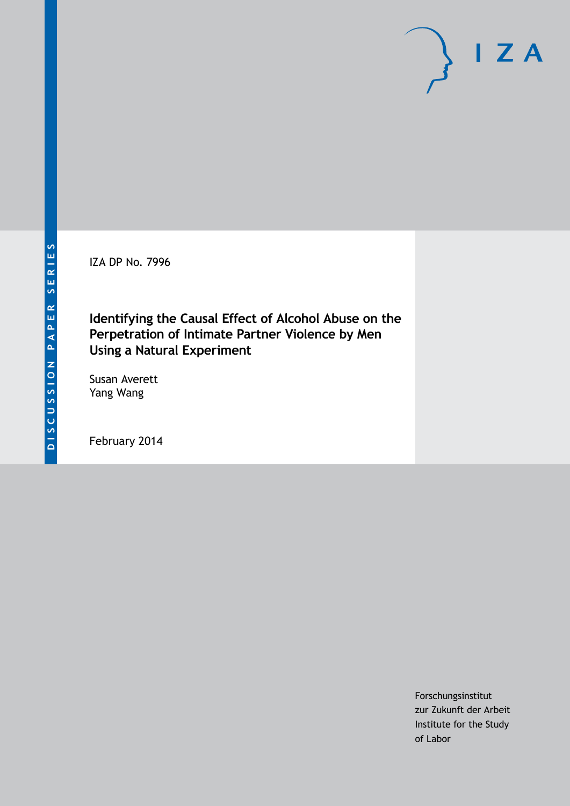IZA DP No. 7996

## **Identifying the Causal Effect of Alcohol Abuse on the Perpetration of Intimate Partner Violence by Men Using a Natural Experiment**

Susan Averett Yang Wang

February 2014

Forschungsinstitut zur Zukunft der Arbeit Institute for the Study of Labor

 $I Z A$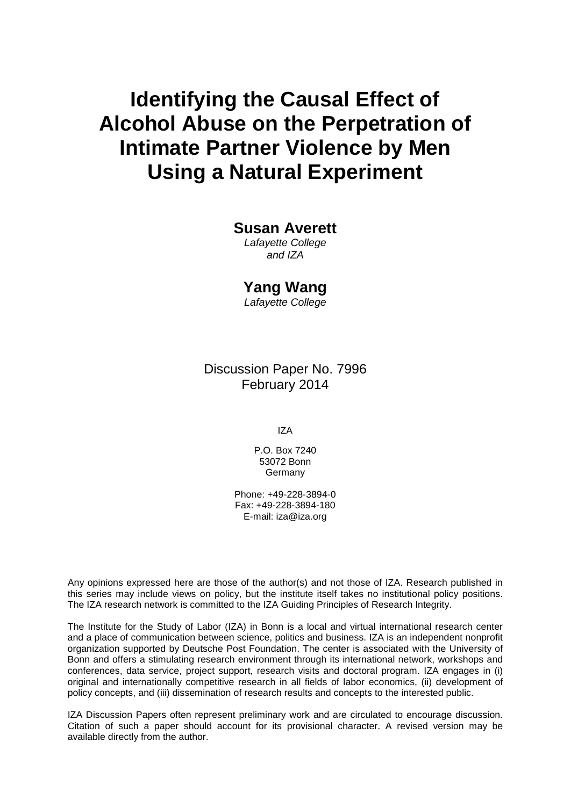# **Identifying the Causal Effect of Alcohol Abuse on the Perpetration of Intimate Partner Violence by Men Using a Natural Experiment**

#### **Susan Averett**

*Lafayette College and IZA*

#### **Yang Wang**

*Lafayette College*

Discussion Paper No. 7996 February 2014

IZA

P.O. Box 7240 53072 Bonn Germany

Phone: +49-228-3894-0 Fax: +49-228-3894-180 E-mail: [iza@iza.org](mailto:iza@iza.org)

Any opinions expressed here are those of the author(s) and not those of IZA. Research published in this series may include views on policy, but the institute itself takes no institutional policy positions. The IZA research network is committed to the IZA Guiding Principles of Research Integrity.

The Institute for the Study of Labor (IZA) in Bonn is a local and virtual international research center and a place of communication between science, politics and business. IZA is an independent nonprofit organization supported by Deutsche Post Foundation. The center is associated with the University of Bonn and offers a stimulating research environment through its international network, workshops and conferences, data service, project support, research visits and doctoral program. IZA engages in (i) original and internationally competitive research in all fields of labor economics, (ii) development of policy concepts, and (iii) dissemination of research results and concepts to the interested public.

IZA Discussion Papers often represent preliminary work and are circulated to encourage discussion. Citation of such a paper should account for its provisional character. A revised version may be available directly from the author.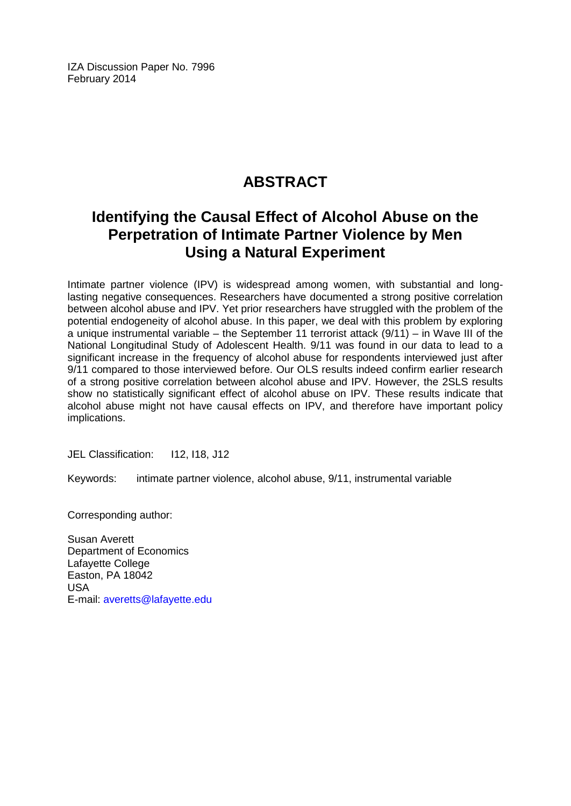IZA Discussion Paper No. 7996 February 2014

## **ABSTRACT**

## **Identifying the Causal Effect of Alcohol Abuse on the Perpetration of Intimate Partner Violence by Men Using a Natural Experiment**

Intimate partner violence (IPV) is widespread among women, with substantial and longlasting negative consequences. Researchers have documented a strong positive correlation between alcohol abuse and IPV. Yet prior researchers have struggled with the problem of the potential endogeneity of alcohol abuse. In this paper, we deal with this problem by exploring a unique instrumental variable – the September 11 terrorist attack (9/11) – in Wave III of the National Longitudinal Study of Adolescent Health. 9/11 was found in our data to lead to a significant increase in the frequency of alcohol abuse for respondents interviewed just after 9/11 compared to those interviewed before. Our OLS results indeed confirm earlier research of a strong positive correlation between alcohol abuse and IPV. However, the 2SLS results show no statistically significant effect of alcohol abuse on IPV. These results indicate that alcohol abuse might not have causal effects on IPV, and therefore have important policy implications.

JEL Classification: I12, I18, J12

Keywords: intimate partner violence, alcohol abuse, 9/11, instrumental variable

Corresponding author:

Susan Averett Department of Economics Lafayette College Easton, PA 18042 USA E-mail: [averetts@lafayette.edu](mailto:averetts@lafayette.edu)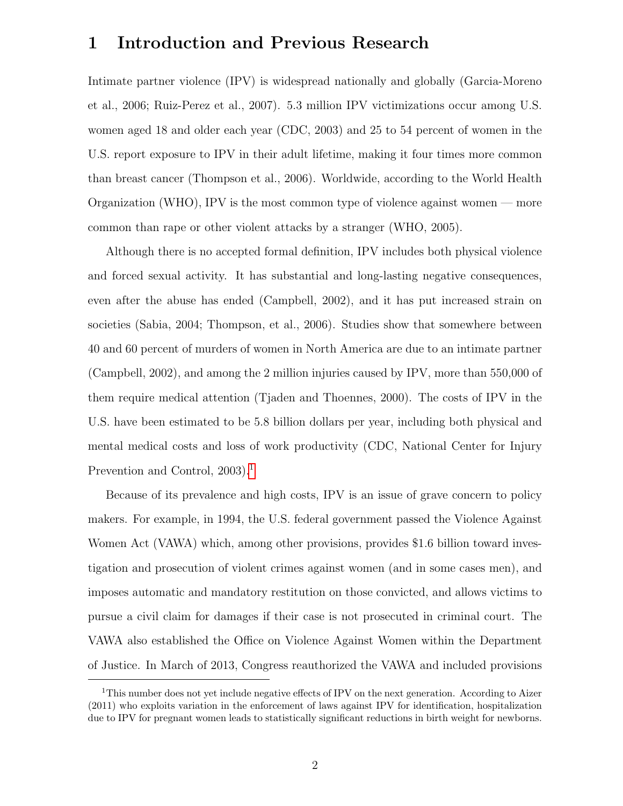## 1 Introduction and Previous Research

Intimate partner violence (IPV) is widespread nationally and globally (Garcia-Moreno et al., 2006; Ruiz-Perez et al., 2007). 5.3 million IPV victimizations occur among U.S. women aged 18 and older each year (CDC, 2003) and 25 to 54 percent of women in the U.S. report exposure to IPV in their adult lifetime, making it four times more common than breast cancer (Thompson et al., 2006). Worldwide, according to the World Health Organization (WHO), IPV is the most common type of violence against women — more common than rape or other violent attacks by a stranger (WHO, 2005).

Although there is no accepted formal definition, IPV includes both physical violence and forced sexual activity. It has substantial and long-lasting negative consequences, even after the abuse has ended (Campbell, 2002), and it has put increased strain on societies (Sabia, 2004; Thompson, et al., 2006). Studies show that somewhere between 40 and 60 percent of murders of women in North America are due to an intimate partner (Campbell, 2002), and among the 2 million injuries caused by IPV, more than 550,000 of them require medical attention (Tjaden and Thoennes, 2000). The costs of IPV in the U.S. have been estimated to be 5.8 billion dollars per year, including both physical and mental medical costs and loss of work productivity (CDC, National Center for Injury Prevention and Control, 2003).<sup>[1](#page-3-0)</sup>

Because of its prevalence and high costs, IPV is an issue of grave concern to policy makers. For example, in 1994, the U.S. federal government passed the Violence Against Women Act (VAWA) which, among other provisions, provides \$1.6 billion toward investigation and prosecution of violent crimes against women (and in some cases men), and imposes automatic and mandatory restitution on those convicted, and allows victims to pursue a civil claim for damages if their case is not prosecuted in criminal court. The VAWA also established the Office on Violence Against Women within the Department of Justice. In March of 2013, Congress reauthorized the VAWA and included provisions

<span id="page-3-0"></span><sup>&</sup>lt;sup>1</sup>This number does not yet include negative effects of IPV on the next generation. According to Aizer (2011) who exploits variation in the enforcement of laws against IPV for identification, hospitalization due to IPV for pregnant women leads to statistically significant reductions in birth weight for newborns.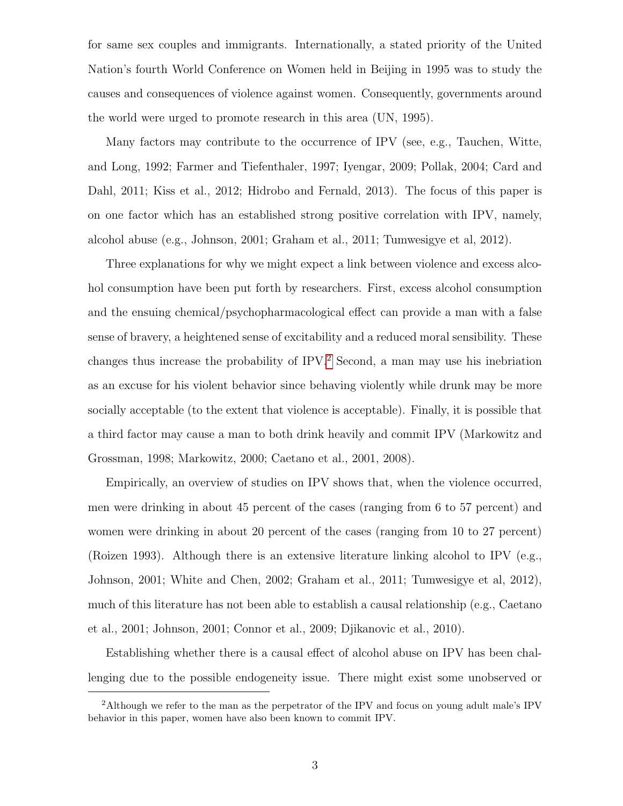for same sex couples and immigrants. Internationally, a stated priority of the United Nation's fourth World Conference on Women held in Beijing in 1995 was to study the causes and consequences of violence against women. Consequently, governments around the world were urged to promote research in this area (UN, 1995).

Many factors may contribute to the occurrence of IPV (see, e.g., Tauchen, Witte, and Long, 1992; Farmer and Tiefenthaler, 1997; Iyengar, 2009; Pollak, 2004; Card and Dahl, 2011; Kiss et al., 2012; Hidrobo and Fernald, 2013). The focus of this paper is on one factor which has an established strong positive correlation with IPV, namely, alcohol abuse (e.g., Johnson, 2001; Graham et al., 2011; Tumwesigye et al, 2012).

Three explanations for why we might expect a link between violence and excess alcohol consumption have been put forth by researchers. First, excess alcohol consumption and the ensuing chemical/psychopharmacological effect can provide a man with a false sense of bravery, a heightened sense of excitability and a reduced moral sensibility. These changes thus increase the probability of IPV.[2](#page-4-0) Second, a man may use his inebriation as an excuse for his violent behavior since behaving violently while drunk may be more socially acceptable (to the extent that violence is acceptable). Finally, it is possible that a third factor may cause a man to both drink heavily and commit IPV (Markowitz and Grossman, 1998; Markowitz, 2000; Caetano et al., 2001, 2008).

Empirically, an overview of studies on IPV shows that, when the violence occurred, men were drinking in about 45 percent of the cases (ranging from 6 to 57 percent) and women were drinking in about 20 percent of the cases (ranging from 10 to 27 percent) (Roizen 1993). Although there is an extensive literature linking alcohol to IPV (e.g., Johnson, 2001; White and Chen, 2002; Graham et al., 2011; Tumwesigye et al, 2012), much of this literature has not been able to establish a causal relationship (e.g., Caetano et al., 2001; Johnson, 2001; Connor et al., 2009; Djikanovic et al., 2010).

Establishing whether there is a causal effect of alcohol abuse on IPV has been challenging due to the possible endogeneity issue. There might exist some unobserved or

<span id="page-4-0"></span><sup>2</sup>Although we refer to the man as the perpetrator of the IPV and focus on young adult male's IPV behavior in this paper, women have also been known to commit IPV.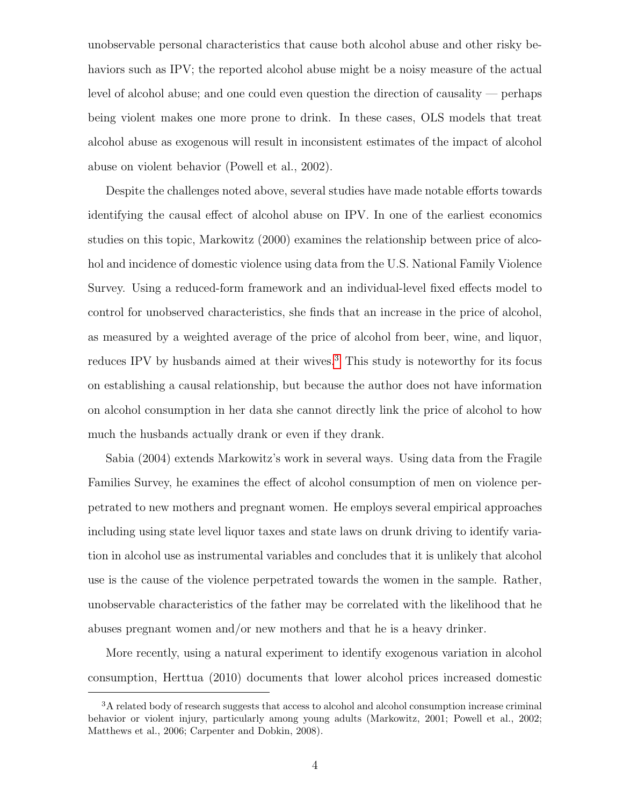unobservable personal characteristics that cause both alcohol abuse and other risky behaviors such as IPV; the reported alcohol abuse might be a noisy measure of the actual level of alcohol abuse; and one could even question the direction of causality — perhaps being violent makes one more prone to drink. In these cases, OLS models that treat alcohol abuse as exogenous will result in inconsistent estimates of the impact of alcohol abuse on violent behavior (Powell et al., 2002).

Despite the challenges noted above, several studies have made notable efforts towards identifying the causal effect of alcohol abuse on IPV. In one of the earliest economics studies on this topic, Markowitz (2000) examines the relationship between price of alcohol and incidence of domestic violence using data from the U.S. National Family Violence Survey. Using a reduced-form framework and an individual-level fixed effects model to control for unobserved characteristics, she finds that an increase in the price of alcohol, as measured by a weighted average of the price of alcohol from beer, wine, and liquor, reduces IPV by husbands aimed at their wives.<sup>[3](#page-5-0)</sup> This study is noteworthy for its focus on establishing a causal relationship, but because the author does not have information on alcohol consumption in her data she cannot directly link the price of alcohol to how much the husbands actually drank or even if they drank.

Sabia (2004) extends Markowitz's work in several ways. Using data from the Fragile Families Survey, he examines the effect of alcohol consumption of men on violence perpetrated to new mothers and pregnant women. He employs several empirical approaches including using state level liquor taxes and state laws on drunk driving to identify variation in alcohol use as instrumental variables and concludes that it is unlikely that alcohol use is the cause of the violence perpetrated towards the women in the sample. Rather, unobservable characteristics of the father may be correlated with the likelihood that he abuses pregnant women and/or new mothers and that he is a heavy drinker.

More recently, using a natural experiment to identify exogenous variation in alcohol consumption, Herttua (2010) documents that lower alcohol prices increased domestic

<span id="page-5-0"></span><sup>&</sup>lt;sup>3</sup>A related body of research suggests that access to alcohol and alcohol consumption increase criminal behavior or violent injury, particularly among young adults (Markowitz, 2001; Powell et al., 2002; Matthews et al., 2006; Carpenter and Dobkin, 2008).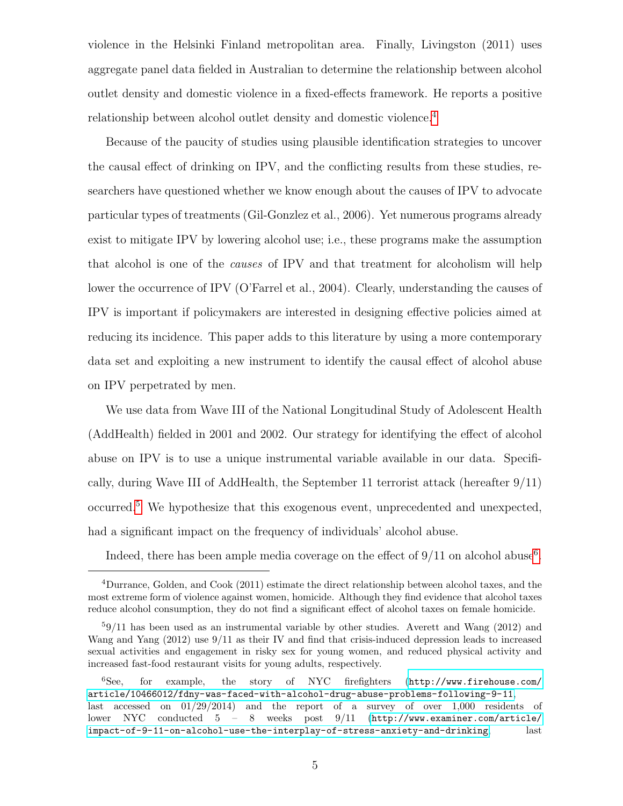violence in the Helsinki Finland metropolitan area. Finally, Livingston (2011) uses aggregate panel data fielded in Australian to determine the relationship between alcohol outlet density and domestic violence in a fixed-effects framework. He reports a positive relationship between alcohol outlet density and domestic violence.[4](#page-6-0)

Because of the paucity of studies using plausible identification strategies to uncover the causal effect of drinking on IPV, and the conflicting results from these studies, researchers have questioned whether we know enough about the causes of IPV to advocate particular types of treatments (Gil-Gonzlez et al., 2006). Yet numerous programs already exist to mitigate IPV by lowering alcohol use; i.e., these programs make the assumption that alcohol is one of the causes of IPV and that treatment for alcoholism will help lower the occurrence of IPV (O'Farrel et al., 2004). Clearly, understanding the causes of IPV is important if policymakers are interested in designing effective policies aimed at reducing its incidence. This paper adds to this literature by using a more contemporary data set and exploiting a new instrument to identify the causal effect of alcohol abuse on IPV perpetrated by men.

We use data from Wave III of the National Longitudinal Study of Adolescent Health (AddHealth) fielded in 2001 and 2002. Our strategy for identifying the effect of alcohol abuse on IPV is to use a unique instrumental variable available in our data. Specifically, during Wave III of AddHealth, the September 11 terrorist attack (hereafter  $9/11$ ) occurred.[5](#page-6-1) We hypothesize that this exogenous event, unprecedented and unexpected, had a significant impact on the frequency of individuals' alcohol abuse.

Indeed, there has been ample media coverage on the effect of  $9/11$  on alcohol abuse<sup>[6](#page-6-2)</sup>.

<span id="page-6-0"></span><sup>4</sup>Durrance, Golden, and Cook (2011) estimate the direct relationship between alcohol taxes, and the most extreme form of violence against women, homicide. Although they find evidence that alcohol taxes reduce alcohol consumption, they do not find a significant effect of alcohol taxes on female homicide.

<span id="page-6-1"></span><sup>5</sup>9/11 has been used as an instrumental variable by other studies. Averett and Wang (2012) and Wang and Yang (2012) use 9/11 as their IV and find that crisis-induced depression leads to increased sexual activities and engagement in risky sex for young women, and reduced physical activity and increased fast-food restaurant visits for young adults, respectively.

<span id="page-6-2"></span><sup>6</sup>See, for example, the story of NYC firefighters ([http://www.firehouse.com/](http://www.firehouse.com/article/10466012/fdny-was-faced-with-alcohol-drug-abuse-problems-following-9-11) [article/10466012/fdny-was-faced-with-alcohol-drug-abuse-problems-following-9-11](http://www.firehouse.com/article/10466012/fdny-was-faced-with-alcohol-drug-abuse-problems-following-9-11), last accessed on 01/29/2014) and the report of a survey of over 1,000 residents of lower NYC conducted 5 – 8 weeks post 9/11 ([http://www.examiner.com/article/](http://www.examiner.com/article/impact-of-9-11-on-alcohol-use-the-interplay-of-stress-anxiety-and-drinking) [impact-of-9-11-on-alcohol-use-the-interplay-of-stress-anxiety-and-drinking](http://www.examiner.com/article/impact-of-9-11-on-alcohol-use-the-interplay-of-stress-anxiety-and-drinking), last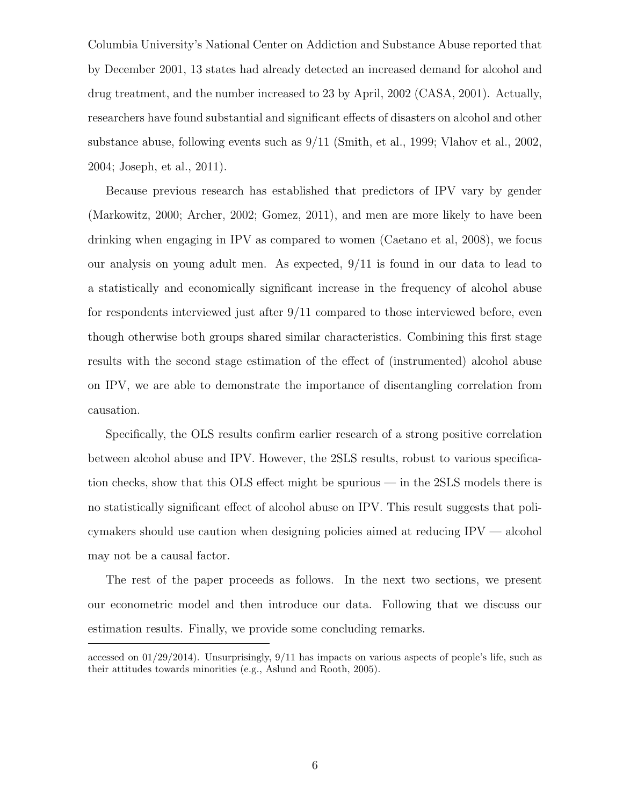Columbia University's National Center on Addiction and Substance Abuse reported that by December 2001, 13 states had already detected an increased demand for alcohol and drug treatment, and the number increased to 23 by April, 2002 (CASA, 2001). Actually, researchers have found substantial and significant effects of disasters on alcohol and other substance abuse, following events such as 9/11 (Smith, et al., 1999; Vlahov et al., 2002, 2004; Joseph, et al., 2011).

Because previous research has established that predictors of IPV vary by gender (Markowitz, 2000; Archer, 2002; Gomez, 2011), and men are more likely to have been drinking when engaging in IPV as compared to women (Caetano et al, 2008), we focus our analysis on young adult men. As expected, 9/11 is found in our data to lead to a statistically and economically significant increase in the frequency of alcohol abuse for respondents interviewed just after 9/11 compared to those interviewed before, even though otherwise both groups shared similar characteristics. Combining this first stage results with the second stage estimation of the effect of (instrumented) alcohol abuse on IPV, we are able to demonstrate the importance of disentangling correlation from causation.

Specifically, the OLS results confirm earlier research of a strong positive correlation between alcohol abuse and IPV. However, the 2SLS results, robust to various specification checks, show that this OLS effect might be spurious — in the 2SLS models there is no statistically significant effect of alcohol abuse on IPV. This result suggests that policymakers should use caution when designing policies aimed at reducing IPV — alcohol may not be a causal factor.

The rest of the paper proceeds as follows. In the next two sections, we present our econometric model and then introduce our data. Following that we discuss our estimation results. Finally, we provide some concluding remarks.

accessed on 01/29/2014). Unsurprisingly, 9/11 has impacts on various aspects of people's life, such as their attitudes towards minorities (e.g., Aslund and Rooth, 2005).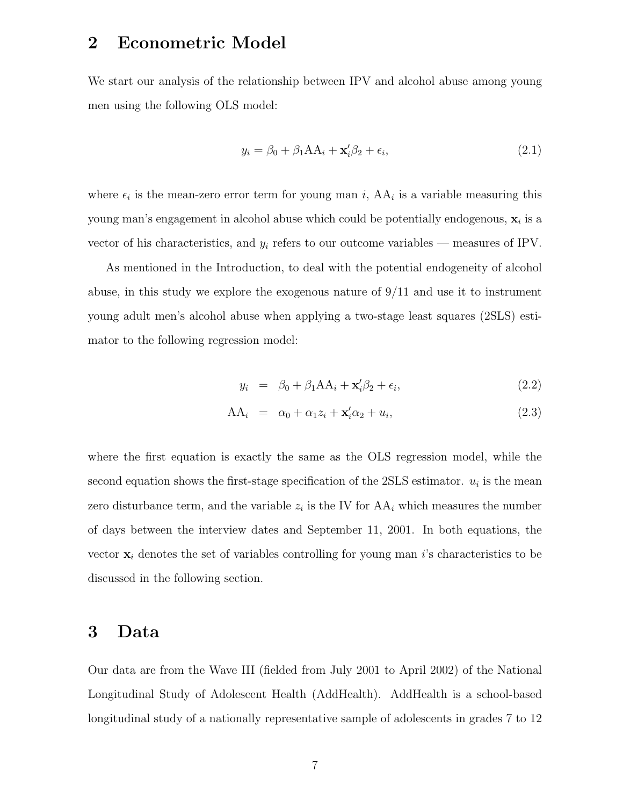### 2 Econometric Model

We start our analysis of the relationship between IPV and alcohol abuse among young men using the following OLS model:

$$
y_i = \beta_0 + \beta_1 A A_i + \mathbf{x}'_i \beta_2 + \epsilon_i,
$$
\n(2.1)

where  $\epsilon_i$  is the mean-zero error term for young man i,  $AA_i$  is a variable measuring this young man's engagement in alcohol abuse which could be potentially endogenous,  $\mathbf{x}_i$  is a vector of his characteristics, and  $y_i$  refers to our outcome variables — measures of IPV.

As mentioned in the Introduction, to deal with the potential endogeneity of alcohol abuse, in this study we explore the exogenous nature of  $9/11$  and use it to instrument young adult men's alcohol abuse when applying a two-stage least squares (2SLS) estimator to the following regression model:

$$
y_i = \beta_0 + \beta_1 A A_i + \mathbf{x}_i' \beta_2 + \epsilon_i, \qquad (2.2)
$$

$$
AA_i = \alpha_0 + \alpha_1 z_i + \mathbf{x}_i' \alpha_2 + u_i, \tag{2.3}
$$

where the first equation is exactly the same as the OLS regression model, while the second equation shows the first-stage specification of the  $2SLS$  estimator.  $u_i$  is the mean zero disturbance term, and the variable  $z_i$  is the IV for  $AA_i$  which measures the number of days between the interview dates and September 11, 2001. In both equations, the vector  $x_i$  denotes the set of variables controlling for young man i's characteristics to be discussed in the following section.

#### 3 Data

Our data are from the Wave III (fielded from July 2001 to April 2002) of the National Longitudinal Study of Adolescent Health (AddHealth). AddHealth is a school-based longitudinal study of a nationally representative sample of adolescents in grades 7 to 12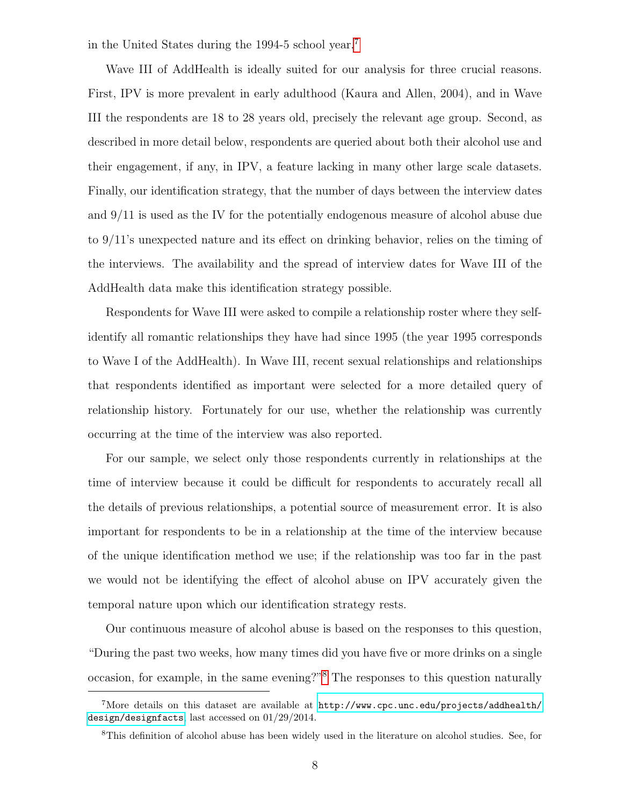in the United States during the 1994-5 school year.[7](#page-9-0)

Wave III of AddHealth is ideally suited for our analysis for three crucial reasons. First, IPV is more prevalent in early adulthood (Kaura and Allen, 2004), and in Wave III the respondents are 18 to 28 years old, precisely the relevant age group. Second, as described in more detail below, respondents are queried about both their alcohol use and their engagement, if any, in IPV, a feature lacking in many other large scale datasets. Finally, our identification strategy, that the number of days between the interview dates and 9/11 is used as the IV for the potentially endogenous measure of alcohol abuse due to 9/11's unexpected nature and its effect on drinking behavior, relies on the timing of the interviews. The availability and the spread of interview dates for Wave III of the AddHealth data make this identification strategy possible.

Respondents for Wave III were asked to compile a relationship roster where they selfidentify all romantic relationships they have had since 1995 (the year 1995 corresponds to Wave I of the AddHealth). In Wave III, recent sexual relationships and relationships that respondents identified as important were selected for a more detailed query of relationship history. Fortunately for our use, whether the relationship was currently occurring at the time of the interview was also reported.

For our sample, we select only those respondents currently in relationships at the time of interview because it could be difficult for respondents to accurately recall all the details of previous relationships, a potential source of measurement error. It is also important for respondents to be in a relationship at the time of the interview because of the unique identification method we use; if the relationship was too far in the past we would not be identifying the effect of alcohol abuse on IPV accurately given the temporal nature upon which our identification strategy rests.

Our continuous measure of alcohol abuse is based on the responses to this question, "During the past two weeks, how many times did you have five or more drinks on a single occasion, for example, in the same evening?"[8](#page-9-1) The responses to this question naturally

<span id="page-9-0"></span><sup>&</sup>lt;sup>7</sup>More details on this dataset are available at  $http://www.cpc.unc.edu/projects/addhealth/$ [design/designfacts](http://www.cpc.unc.edu/projects/addhealth/design/designfacts), last accessed on 01/29/2014.

<span id="page-9-1"></span><sup>8</sup>This definition of alcohol abuse has been widely used in the literature on alcohol studies. See, for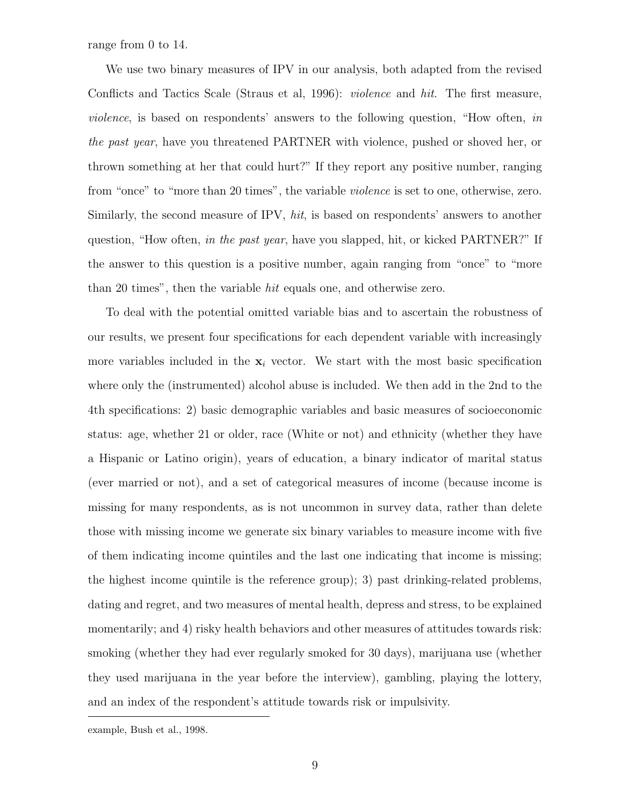range from 0 to 14.

We use two binary measures of IPV in our analysis, both adapted from the revised Conflicts and Tactics Scale (Straus et al, 1996): violence and hit. The first measure, violence, is based on respondents' answers to the following question, "How often, in the past year, have you threatened PARTNER with violence, pushed or shoved her, or thrown something at her that could hurt?" If they report any positive number, ranging from "once" to "more than 20 times", the variable violence is set to one, otherwise, zero. Similarly, the second measure of IPV, hit, is based on respondents' answers to another question, "How often, in the past year, have you slapped, hit, or kicked PARTNER?" If the answer to this question is a positive number, again ranging from "once" to "more than 20 times", then the variable hit equals one, and otherwise zero.

To deal with the potential omitted variable bias and to ascertain the robustness of our results, we present four specifications for each dependent variable with increasingly more variables included in the  $x_i$  vector. We start with the most basic specification where only the (instrumented) alcohol abuse is included. We then add in the 2nd to the 4th specifications: 2) basic demographic variables and basic measures of socioeconomic status: age, whether 21 or older, race (White or not) and ethnicity (whether they have a Hispanic or Latino origin), years of education, a binary indicator of marital status (ever married or not), and a set of categorical measures of income (because income is missing for many respondents, as is not uncommon in survey data, rather than delete those with missing income we generate six binary variables to measure income with five of them indicating income quintiles and the last one indicating that income is missing; the highest income quintile is the reference group); 3) past drinking-related problems, dating and regret, and two measures of mental health, depress and stress, to be explained momentarily; and 4) risky health behaviors and other measures of attitudes towards risk: smoking (whether they had ever regularly smoked for 30 days), marijuana use (whether they used marijuana in the year before the interview), gambling, playing the lottery, and an index of the respondent's attitude towards risk or impulsivity.

example, Bush et al., 1998.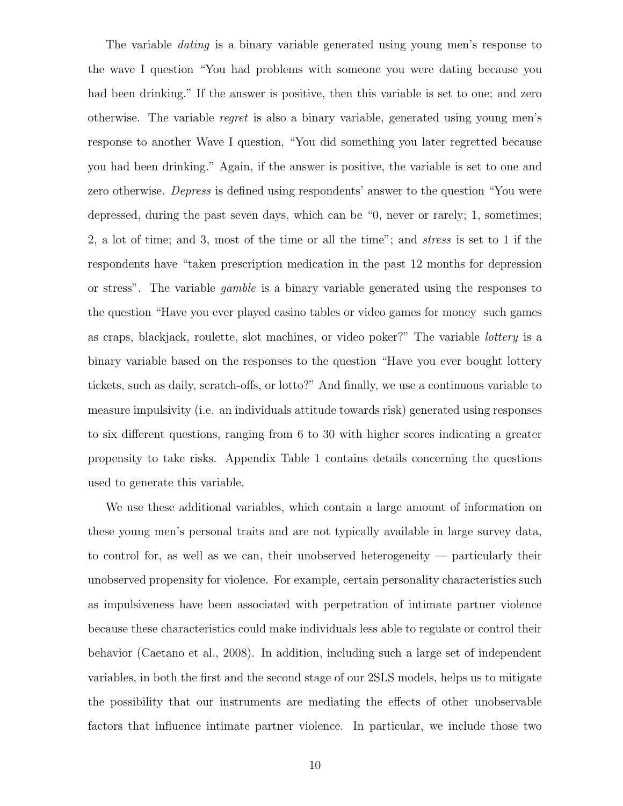The variable *dating* is a binary variable generated using young men's response to the wave I question "You had problems with someone you were dating because you had been drinking." If the answer is positive, then this variable is set to one; and zero otherwise. The variable regret is also a binary variable, generated using young men's response to another Wave I question, "You did something you later regretted because you had been drinking." Again, if the answer is positive, the variable is set to one and zero otherwise. Depress is defined using respondents' answer to the question "You were depressed, during the past seven days, which can be "0, never or rarely; 1, sometimes; 2, a lot of time; and 3, most of the time or all the time"; and stress is set to 1 if the respondents have "taken prescription medication in the past 12 months for depression or stress". The variable gamble is a binary variable generated using the responses to the question "Have you ever played casino tables or video games for money such games as craps, blackjack, roulette, slot machines, or video poker?" The variable lottery is a binary variable based on the responses to the question "Have you ever bought lottery tickets, such as daily, scratch-offs, or lotto?" And finally, we use a continuous variable to measure impulsivity (i.e. an individuals attitude towards risk) generated using responses to six different questions, ranging from 6 to 30 with higher scores indicating a greater propensity to take risks. Appendix Table 1 contains details concerning the questions used to generate this variable.

We use these additional variables, which contain a large amount of information on these young men's personal traits and are not typically available in large survey data, to control for, as well as we can, their unobserved heterogeneity — particularly their unobserved propensity for violence. For example, certain personality characteristics such as impulsiveness have been associated with perpetration of intimate partner violence because these characteristics could make individuals less able to regulate or control their behavior (Caetano et al., 2008). In addition, including such a large set of independent variables, in both the first and the second stage of our 2SLS models, helps us to mitigate the possibility that our instruments are mediating the effects of other unobservable factors that influence intimate partner violence. In particular, we include those two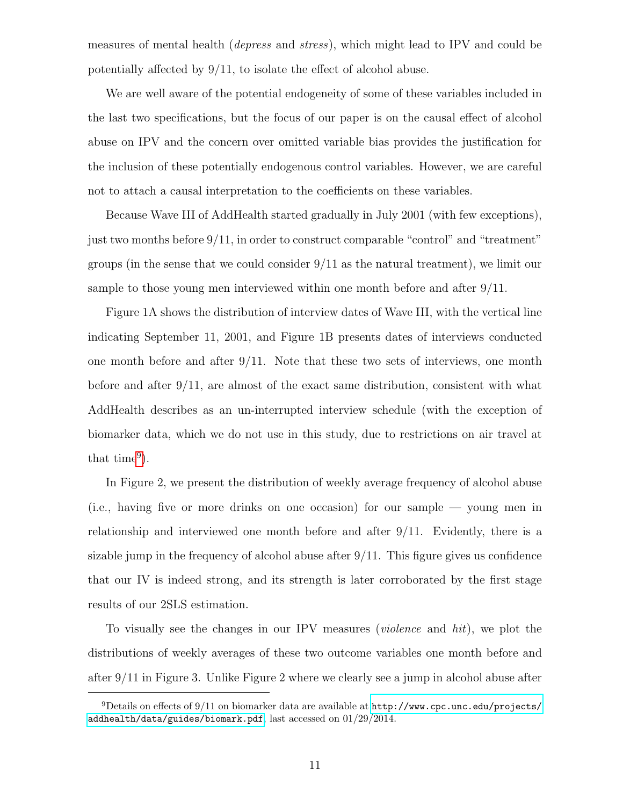measures of mental health (depress and stress), which might lead to IPV and could be potentially affected by 9/11, to isolate the effect of alcohol abuse.

We are well aware of the potential endogeneity of some of these variables included in the last two specifications, but the focus of our paper is on the causal effect of alcohol abuse on IPV and the concern over omitted variable bias provides the justification for the inclusion of these potentially endogenous control variables. However, we are careful not to attach a causal interpretation to the coefficients on these variables.

Because Wave III of AddHealth started gradually in July 2001 (with few exceptions), just two months before 9/11, in order to construct comparable "control" and "treatment" groups (in the sense that we could consider  $9/11$  as the natural treatment), we limit our sample to those young men interviewed within one month before and after 9/11.

Figure 1A shows the distribution of interview dates of Wave III, with the vertical line indicating September 11, 2001, and Figure 1B presents dates of interviews conducted one month before and after  $9/11$ . Note that these two sets of interviews, one month before and after  $9/11$ , are almost of the exact same distribution, consistent with what AddHealth describes as an un-interrupted interview schedule (with the exception of biomarker data, which we do not use in this study, due to restrictions on air travel at that time<sup>[9](#page-12-0)</sup>).

In Figure 2, we present the distribution of weekly average frequency of alcohol abuse (i.e., having five or more drinks on one occasion) for our sample — young men in relationship and interviewed one month before and after 9/11. Evidently, there is a sizable jump in the frequency of alcohol abuse after  $9/11$ . This figure gives us confidence that our IV is indeed strong, and its strength is later corroborated by the first stage results of our 2SLS estimation.

To visually see the changes in our IPV measures (violence and hit), we plot the distributions of weekly averages of these two outcome variables one month before and after 9/11 in Figure 3. Unlike Figure 2 where we clearly see a jump in alcohol abuse after

<span id="page-12-0"></span><sup>&</sup>lt;sup>9</sup>Details on effects of 9/11 on biomarker data are available at  $http://www.cpc.unc.edu/projects/$ [addhealth/data/guides/biomark.pdf](http://www.cpc.unc.edu/projects/addhealth/data/guides/biomark.pdf), last accessed on 01/29/2014.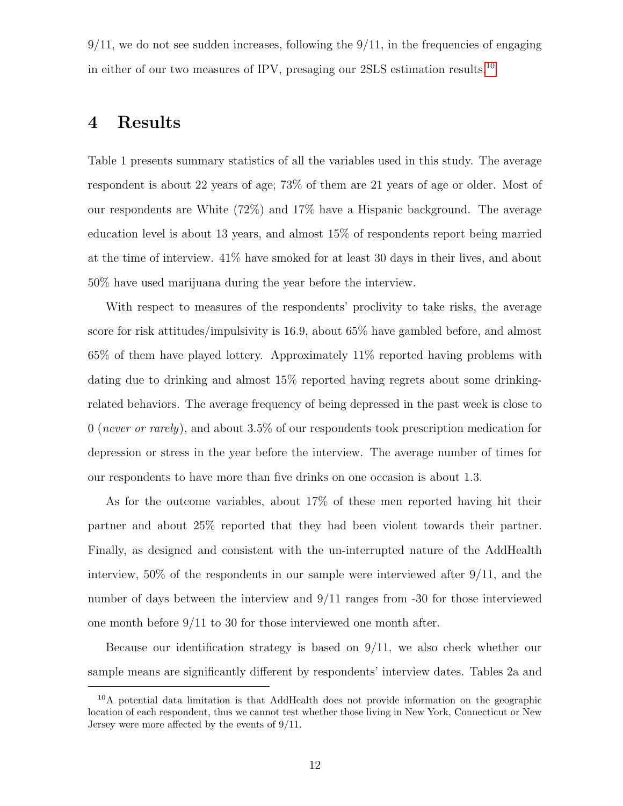$9/11$ , we do not see sudden increases, following the  $9/11$ , in the frequencies of engaging in either of our two measures of IPV, presaging our 2SLS estimation results.[10](#page-13-0)

#### 4 Results

Table 1 presents summary statistics of all the variables used in this study. The average respondent is about 22 years of age; 73% of them are 21 years of age or older. Most of our respondents are White (72%) and 17% have a Hispanic background. The average education level is about 13 years, and almost 15% of respondents report being married at the time of interview. 41% have smoked for at least 30 days in their lives, and about 50% have used marijuana during the year before the interview.

With respect to measures of the respondents' proclivity to take risks, the average score for risk attitudes/impulsivity is 16.9, about 65% have gambled before, and almost 65% of them have played lottery. Approximately 11% reported having problems with dating due to drinking and almost 15% reported having regrets about some drinkingrelated behaviors. The average frequency of being depressed in the past week is close to 0 (never or rarely), and about 3.5% of our respondents took prescription medication for depression or stress in the year before the interview. The average number of times for our respondents to have more than five drinks on one occasion is about 1.3.

As for the outcome variables, about 17% of these men reported having hit their partner and about 25% reported that they had been violent towards their partner. Finally, as designed and consistent with the un-interrupted nature of the AddHealth interview, 50% of the respondents in our sample were interviewed after 9/11, and the number of days between the interview and 9/11 ranges from -30 for those interviewed one month before 9/11 to 30 for those interviewed one month after.

Because our identification strategy is based on 9/11, we also check whether our sample means are significantly different by respondents' interview dates. Tables 2a and

<span id="page-13-0"></span><sup>&</sup>lt;sup>10</sup>A potential data limitation is that AddHealth does not provide information on the geographic location of each respondent, thus we cannot test whether those living in New York, Connecticut or New Jersey were more affected by the events of 9/11.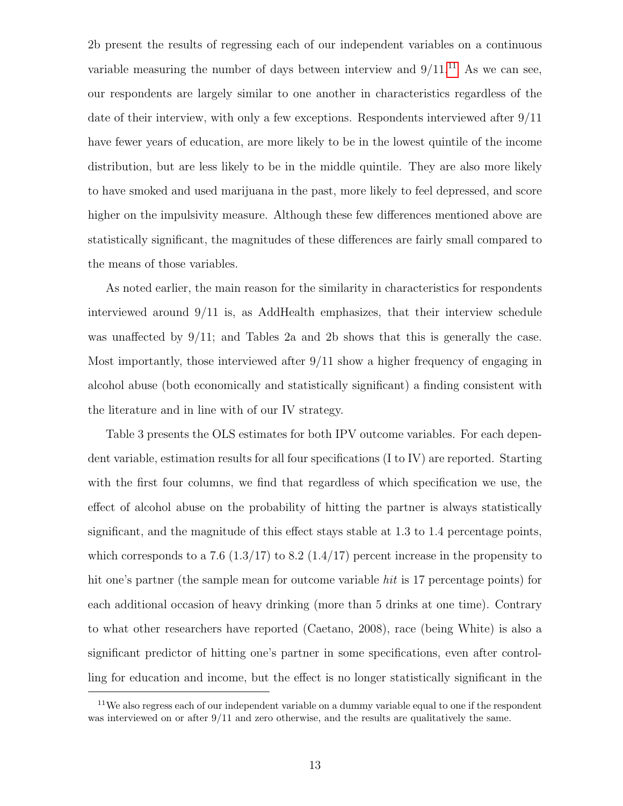2b present the results of regressing each of our independent variables on a continuous variable measuring the number of days between interview and  $9/11$  $9/11$ .<sup>11</sup> As we can see, our respondents are largely similar to one another in characteristics regardless of the date of their interview, with only a few exceptions. Respondents interviewed after 9/11 have fewer years of education, are more likely to be in the lowest quintile of the income distribution, but are less likely to be in the middle quintile. They are also more likely to have smoked and used marijuana in the past, more likely to feel depressed, and score higher on the impulsivity measure. Although these few differences mentioned above are statistically significant, the magnitudes of these differences are fairly small compared to the means of those variables.

As noted earlier, the main reason for the similarity in characteristics for respondents interviewed around 9/11 is, as AddHealth emphasizes, that their interview schedule was unaffected by  $9/11$ ; and Tables 2a and 2b shows that this is generally the case. Most importantly, those interviewed after 9/11 show a higher frequency of engaging in alcohol abuse (both economically and statistically significant) a finding consistent with the literature and in line with of our IV strategy.

Table 3 presents the OLS estimates for both IPV outcome variables. For each dependent variable, estimation results for all four specifications (I to IV) are reported. Starting with the first four columns, we find that regardless of which specification we use, the effect of alcohol abuse on the probability of hitting the partner is always statistically significant, and the magnitude of this effect stays stable at 1.3 to 1.4 percentage points, which corresponds to a 7.6 (1.3/17) to 8.2 (1.4/17) percent increase in the propensity to hit one's partner (the sample mean for outcome variable *hit* is 17 percentage points) for each additional occasion of heavy drinking (more than 5 drinks at one time). Contrary to what other researchers have reported (Caetano, 2008), race (being White) is also a significant predictor of hitting one's partner in some specifications, even after controlling for education and income, but the effect is no longer statistically significant in the

<span id="page-14-0"></span> $11$ We also regress each of our independent variable on a dummy variable equal to one if the respondent was interviewed on or after 9/11 and zero otherwise, and the results are qualitatively the same.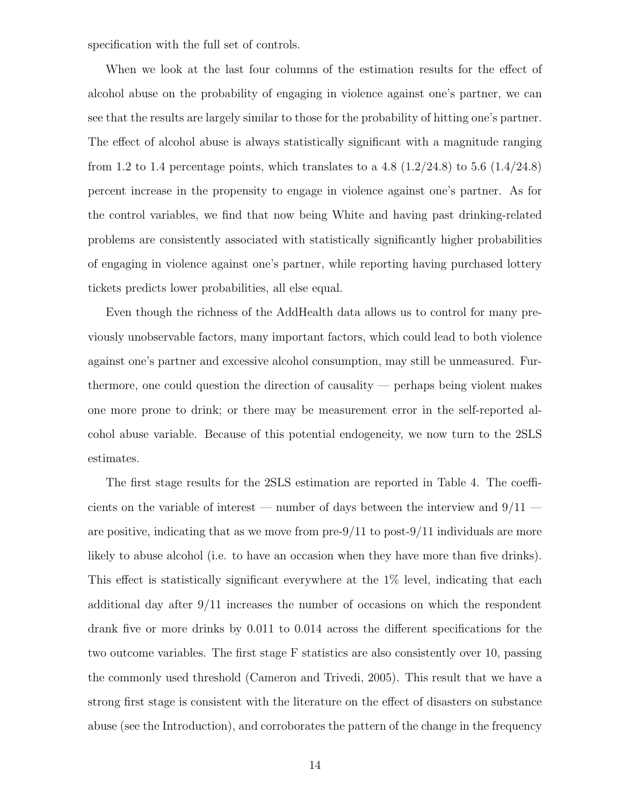specification with the full set of controls.

When we look at the last four columns of the estimation results for the effect of alcohol abuse on the probability of engaging in violence against one's partner, we can see that the results are largely similar to those for the probability of hitting one's partner. The effect of alcohol abuse is always statistically significant with a magnitude ranging from 1.2 to 1.4 percentage points, which translates to a 4.8  $(1.2/24.8)$  to 5.6  $(1.4/24.8)$ percent increase in the propensity to engage in violence against one's partner. As for the control variables, we find that now being White and having past drinking-related problems are consistently associated with statistically significantly higher probabilities of engaging in violence against one's partner, while reporting having purchased lottery tickets predicts lower probabilities, all else equal.

Even though the richness of the AddHealth data allows us to control for many previously unobservable factors, many important factors, which could lead to both violence against one's partner and excessive alcohol consumption, may still be unmeasured. Furthermore, one could question the direction of causality — perhaps being violent makes one more prone to drink; or there may be measurement error in the self-reported alcohol abuse variable. Because of this potential endogeneity, we now turn to the 2SLS estimates.

The first stage results for the 2SLS estimation are reported in Table 4. The coefficients on the variable of interest — number of days between the interview and  $9/11$  are positive, indicating that as we move from  $pre-9/11$  to post-9/11 individuals are more likely to abuse alcohol (i.e. to have an occasion when they have more than five drinks). This effect is statistically significant everywhere at the 1% level, indicating that each additional day after 9/11 increases the number of occasions on which the respondent drank five or more drinks by 0.011 to 0.014 across the different specifications for the two outcome variables. The first stage F statistics are also consistently over 10, passing the commonly used threshold (Cameron and Trivedi, 2005). This result that we have a strong first stage is consistent with the literature on the effect of disasters on substance abuse (see the Introduction), and corroborates the pattern of the change in the frequency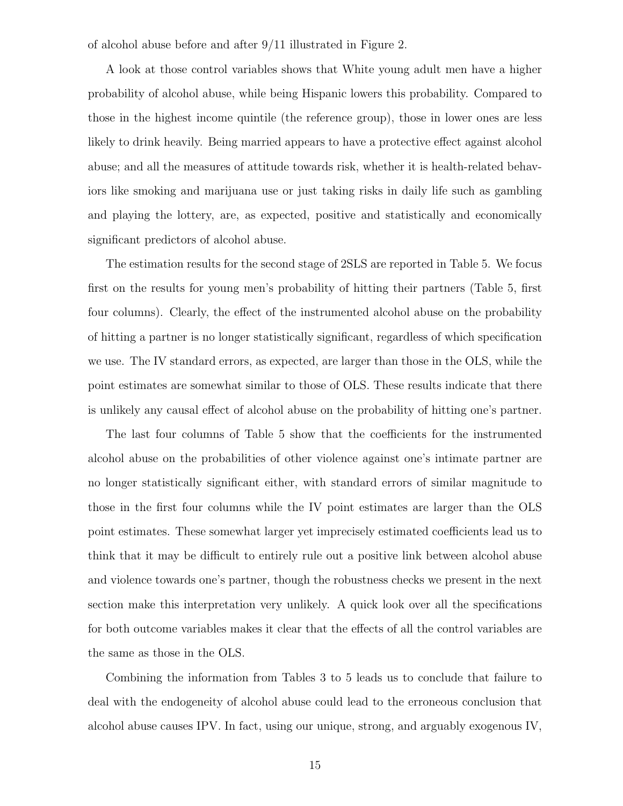of alcohol abuse before and after 9/11 illustrated in Figure 2.

A look at those control variables shows that White young adult men have a higher probability of alcohol abuse, while being Hispanic lowers this probability. Compared to those in the highest income quintile (the reference group), those in lower ones are less likely to drink heavily. Being married appears to have a protective effect against alcohol abuse; and all the measures of attitude towards risk, whether it is health-related behaviors like smoking and marijuana use or just taking risks in daily life such as gambling and playing the lottery, are, as expected, positive and statistically and economically significant predictors of alcohol abuse.

The estimation results for the second stage of 2SLS are reported in Table 5. We focus first on the results for young men's probability of hitting their partners (Table 5, first four columns). Clearly, the effect of the instrumented alcohol abuse on the probability of hitting a partner is no longer statistically significant, regardless of which specification we use. The IV standard errors, as expected, are larger than those in the OLS, while the point estimates are somewhat similar to those of OLS. These results indicate that there is unlikely any causal effect of alcohol abuse on the probability of hitting one's partner.

The last four columns of Table 5 show that the coefficients for the instrumented alcohol abuse on the probabilities of other violence against one's intimate partner are no longer statistically significant either, with standard errors of similar magnitude to those in the first four columns while the IV point estimates are larger than the OLS point estimates. These somewhat larger yet imprecisely estimated coefficients lead us to think that it may be difficult to entirely rule out a positive link between alcohol abuse and violence towards one's partner, though the robustness checks we present in the next section make this interpretation very unlikely. A quick look over all the specifications for both outcome variables makes it clear that the effects of all the control variables are the same as those in the OLS.

Combining the information from Tables 3 to 5 leads us to conclude that failure to deal with the endogeneity of alcohol abuse could lead to the erroneous conclusion that alcohol abuse causes IPV. In fact, using our unique, strong, and arguably exogenous IV,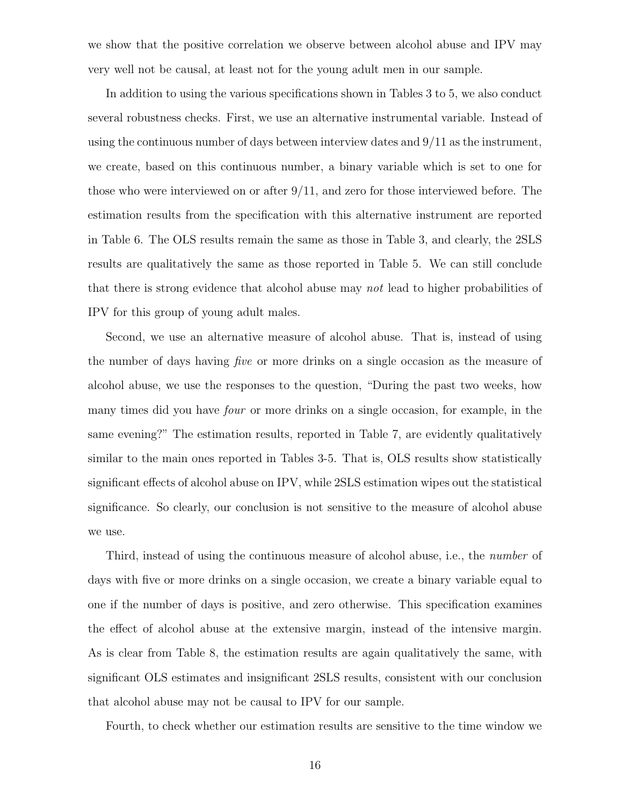we show that the positive correlation we observe between alcohol abuse and IPV may very well not be causal, at least not for the young adult men in our sample.

In addition to using the various specifications shown in Tables 3 to 5, we also conduct several robustness checks. First, we use an alternative instrumental variable. Instead of using the continuous number of days between interview dates and  $9/11$  as the instrument, we create, based on this continuous number, a binary variable which is set to one for those who were interviewed on or after 9/11, and zero for those interviewed before. The estimation results from the specification with this alternative instrument are reported in Table 6. The OLS results remain the same as those in Table 3, and clearly, the 2SLS results are qualitatively the same as those reported in Table 5. We can still conclude that there is strong evidence that alcohol abuse may not lead to higher probabilities of IPV for this group of young adult males.

Second, we use an alternative measure of alcohol abuse. That is, instead of using the number of days having five or more drinks on a single occasion as the measure of alcohol abuse, we use the responses to the question, "During the past two weeks, how many times did you have four or more drinks on a single occasion, for example, in the same evening?" The estimation results, reported in Table 7, are evidently qualitatively similar to the main ones reported in Tables 3-5. That is, OLS results show statistically significant effects of alcohol abuse on IPV, while 2SLS estimation wipes out the statistical significance. So clearly, our conclusion is not sensitive to the measure of alcohol abuse we use.

Third, instead of using the continuous measure of alcohol abuse, i.e., the *number* of days with five or more drinks on a single occasion, we create a binary variable equal to one if the number of days is positive, and zero otherwise. This specification examines the effect of alcohol abuse at the extensive margin, instead of the intensive margin. As is clear from Table 8, the estimation results are again qualitatively the same, with significant OLS estimates and insignificant 2SLS results, consistent with our conclusion that alcohol abuse may not be causal to IPV for our sample.

Fourth, to check whether our estimation results are sensitive to the time window we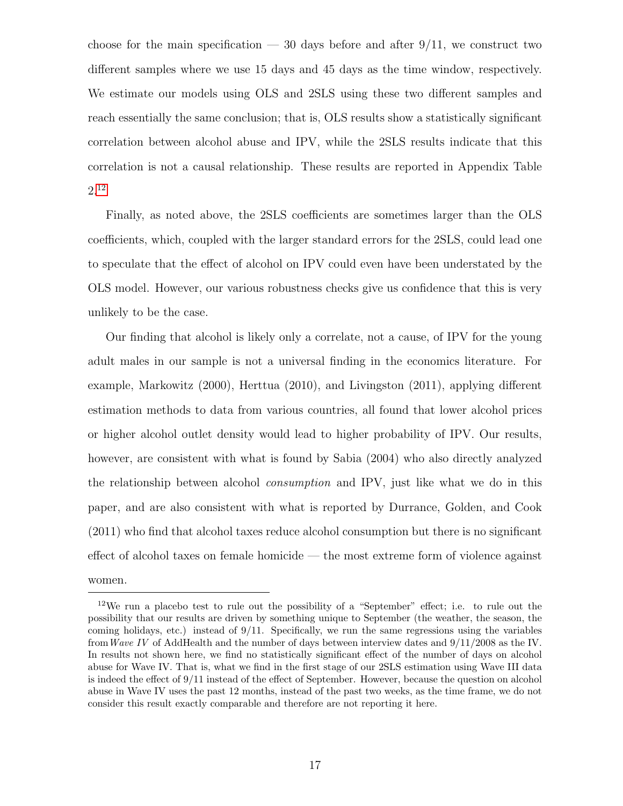choose for the main specification  $-30$  days before and after  $9/11$ , we construct two different samples where we use 15 days and 45 days as the time window, respectively. We estimate our models using OLS and 2SLS using these two different samples and reach essentially the same conclusion; that is, OLS results show a statistically significant correlation between alcohol abuse and IPV, while the 2SLS results indicate that this correlation is not a causal relationship. These results are reported in Appendix Table 2.[12](#page-18-0)

Finally, as noted above, the 2SLS coefficients are sometimes larger than the OLS coefficients, which, coupled with the larger standard errors for the 2SLS, could lead one to speculate that the effect of alcohol on IPV could even have been understated by the OLS model. However, our various robustness checks give us confidence that this is very unlikely to be the case.

Our finding that alcohol is likely only a correlate, not a cause, of IPV for the young adult males in our sample is not a universal finding in the economics literature. For example, Markowitz (2000), Herttua (2010), and Livingston (2011), applying different estimation methods to data from various countries, all found that lower alcohol prices or higher alcohol outlet density would lead to higher probability of IPV. Our results, however, are consistent with what is found by Sabia (2004) who also directly analyzed the relationship between alcohol consumption and IPV, just like what we do in this paper, and are also consistent with what is reported by Durrance, Golden, and Cook (2011) who find that alcohol taxes reduce alcohol consumption but there is no significant effect of alcohol taxes on female homicide — the most extreme form of violence against women.

<span id="page-18-0"></span><sup>&</sup>lt;sup>12</sup>We run a placebo test to rule out the possibility of a "September" effect; i.e. to rule out the possibility that our results are driven by something unique to September (the weather, the season, the coming holidays, etc.) instead of 9/11. Specifically, we run the same regressions using the variables fromWave IV of AddHealth and the number of days between interview dates and 9/11/2008 as the IV. In results not shown here, we find no statistically significant effect of the number of days on alcohol abuse for Wave IV. That is, what we find in the first stage of our 2SLS estimation using Wave III data is indeed the effect of 9/11 instead of the effect of September. However, because the question on alcohol abuse in Wave IV uses the past 12 months, instead of the past two weeks, as the time frame, we do not consider this result exactly comparable and therefore are not reporting it here.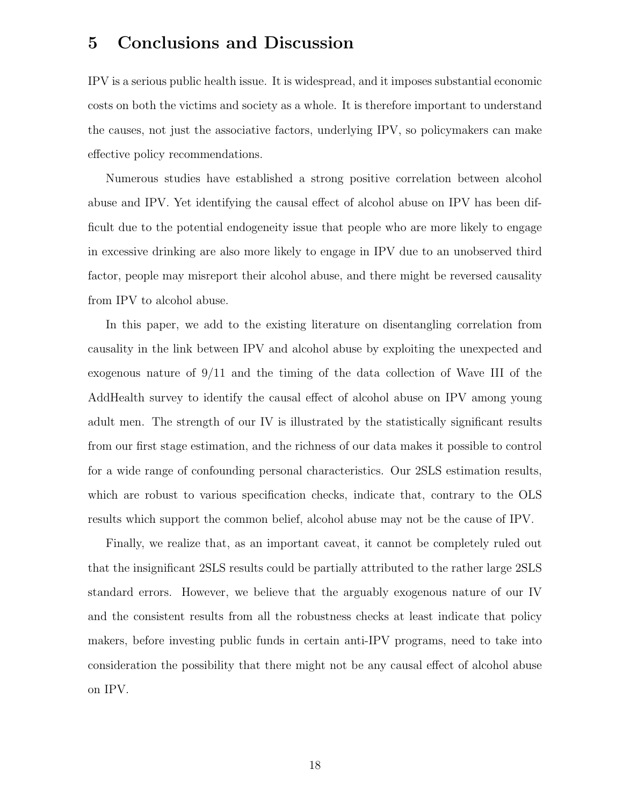## 5 Conclusions and Discussion

IPV is a serious public health issue. It is widespread, and it imposes substantial economic costs on both the victims and society as a whole. It is therefore important to understand the causes, not just the associative factors, underlying IPV, so policymakers can make effective policy recommendations.

Numerous studies have established a strong positive correlation between alcohol abuse and IPV. Yet identifying the causal effect of alcohol abuse on IPV has been difficult due to the potential endogeneity issue that people who are more likely to engage in excessive drinking are also more likely to engage in IPV due to an unobserved third factor, people may misreport their alcohol abuse, and there might be reversed causality from IPV to alcohol abuse.

In this paper, we add to the existing literature on disentangling correlation from causality in the link between IPV and alcohol abuse by exploiting the unexpected and exogenous nature of 9/11 and the timing of the data collection of Wave III of the AddHealth survey to identify the causal effect of alcohol abuse on IPV among young adult men. The strength of our IV is illustrated by the statistically significant results from our first stage estimation, and the richness of our data makes it possible to control for a wide range of confounding personal characteristics. Our 2SLS estimation results, which are robust to various specification checks, indicate that, contrary to the OLS results which support the common belief, alcohol abuse may not be the cause of IPV.

Finally, we realize that, as an important caveat, it cannot be completely ruled out that the insignificant 2SLS results could be partially attributed to the rather large 2SLS standard errors. However, we believe that the arguably exogenous nature of our IV and the consistent results from all the robustness checks at least indicate that policy makers, before investing public funds in certain anti-IPV programs, need to take into consideration the possibility that there might not be any causal effect of alcohol abuse on IPV.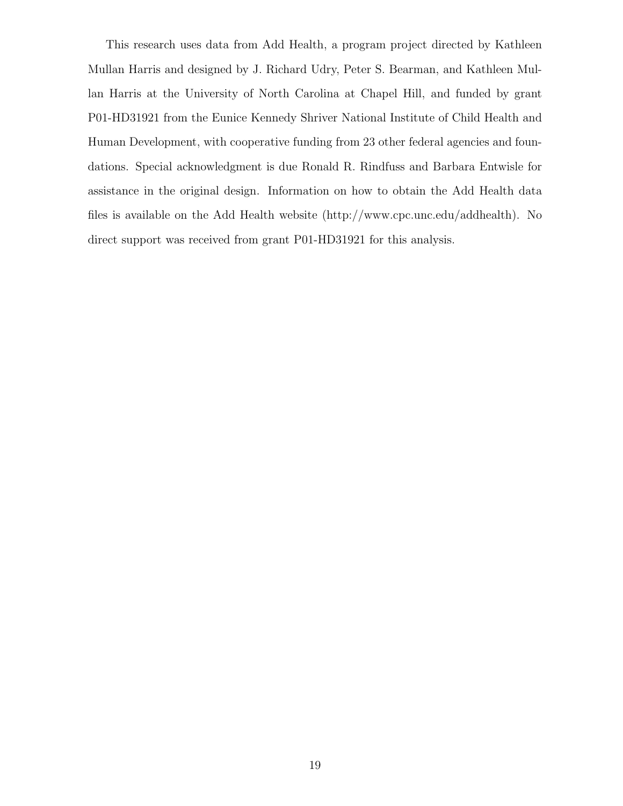This research uses data from Add Health, a program project directed by Kathleen Mullan Harris and designed by J. Richard Udry, Peter S. Bearman, and Kathleen Mullan Harris at the University of North Carolina at Chapel Hill, and funded by grant P01-HD31921 from the Eunice Kennedy Shriver National Institute of Child Health and Human Development, with cooperative funding from 23 other federal agencies and foundations. Special acknowledgment is due Ronald R. Rindfuss and Barbara Entwisle for assistance in the original design. Information on how to obtain the Add Health data files is available on the Add Health website (http://www.cpc.unc.edu/addhealth). No direct support was received from grant P01-HD31921 for this analysis.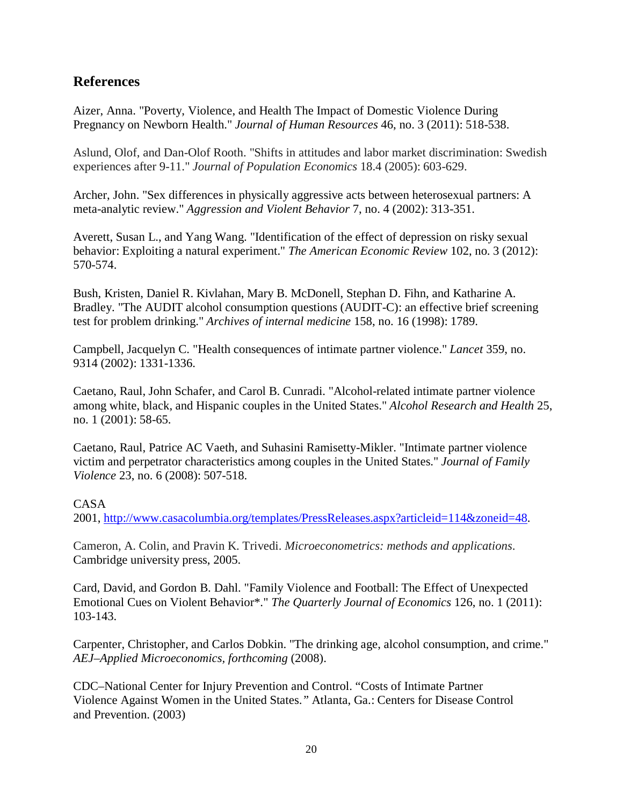#### **References**

Aizer, Anna. "Poverty, Violence, and Health The Impact of Domestic Violence During Pregnancy on Newborn Health." *Journal of Human Resources* 46, no. 3 (2011): 518-538.

Aslund, Olof, and Dan-Olof Rooth. "Shifts in attitudes and labor market discrimination: Swedish experiences after 9-11." *Journal of Population Economics* 18.4 (2005): 603-629.

Archer, John. "Sex differences in physically aggressive acts between heterosexual partners: A meta-analytic review." *Aggression and Violent Behavior* 7, no. 4 (2002): 313-351.

Averett, Susan L., and Yang Wang. "Identification of the effect of depression on risky sexual behavior: Exploiting a natural experiment." *The American Economic Review* 102, no. 3 (2012): 570-574.

Bush, Kristen, Daniel R. Kivlahan, Mary B. McDonell, Stephan D. Fihn, and Katharine A. Bradley. "The AUDIT alcohol consumption questions (AUDIT-C): an effective brief screening test for problem drinking." *Archives of internal medicine* 158, no. 16 (1998): 1789.

Campbell, Jacquelyn C. "Health consequences of intimate partner violence." *Lancet* 359, no. 9314 (2002): 1331-1336.

Caetano, Raul, John Schafer, and Carol B. Cunradi. "Alcohol-related intimate partner violence among white, black, and Hispanic couples in the United States." *Alcohol Research and Health* 25, no. 1 (2001): 58-65.

Caetano, Raul, Patrice AC Vaeth, and Suhasini Ramisetty-Mikler. "Intimate partner violence victim and perpetrator characteristics among couples in the United States." *Journal of Family Violence* 23, no. 6 (2008): 507-518.

#### CASA

2001, [http://www.casacolumbia.org/templates/PressReleases.aspx?articleid=114&zoneid=48.](http://www.casacolumbia.org/templates/PressReleases.aspx?articleid=114&zoneid=48)

Cameron, A. Colin, and Pravin K. Trivedi. *Microeconometrics: methods and applications*. Cambridge university press, 2005.

Card, David, and Gordon B. Dahl. "Family Violence and Football: The Effect of Unexpected Emotional Cues on Violent Behavior\*." *The Quarterly Journal of Economics* 126, no. 1 (2011): 103-143.

Carpenter, Christopher, and Carlos Dobkin. "The drinking age, alcohol consumption, and crime." *AEJ–Applied Microeconomics, forthcoming* (2008).

CDC–National Center for Injury Prevention and Control. "Costs of Intimate Partner Violence Against Women in the United States.*"* Atlanta, Ga.: Centers for Disease Control and Prevention. (2003)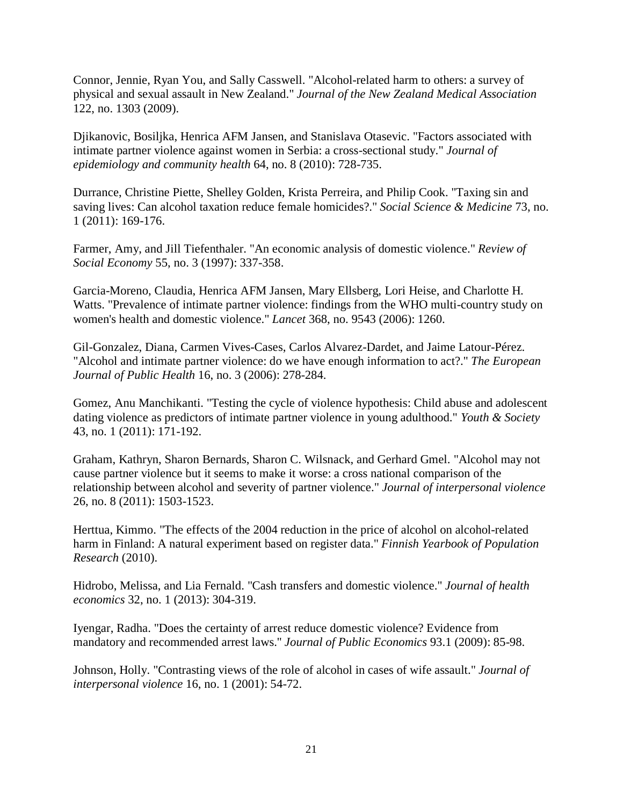Connor, Jennie, Ryan You, and Sally Casswell. "Alcohol-related harm to others: a survey of physical and sexual assault in New Zealand." *Journal of the New Zealand Medical Association* 122, no. 1303 (2009).

Djikanovic, Bosiljka, Henrica AFM Jansen, and Stanislava Otasevic. "Factors associated with intimate partner violence against women in Serbia: a cross-sectional study." *Journal of epidemiology and community health* 64, no. 8 (2010): 728-735.

Durrance, Christine Piette, Shelley Golden, Krista Perreira, and Philip Cook. "Taxing sin and saving lives: Can alcohol taxation reduce female homicides?." *Social Science & Medicine* 73, no. 1 (2011): 169-176.

Farmer, Amy, and Jill Tiefenthaler. "An economic analysis of domestic violence." *Review of Social Economy* 55, no. 3 (1997): 337-358.

Garcia-Moreno, Claudia, Henrica AFM Jansen, Mary Ellsberg, Lori Heise, and Charlotte H. Watts. "Prevalence of intimate partner violence: findings from the WHO multi-country study on women's health and domestic violence." *Lancet* 368, no. 9543 (2006): 1260.

Gil-Gonzalez, Diana, Carmen Vives-Cases, Carlos Alvarez-Dardet, and Jaime Latour-Pérez. "Alcohol and intimate partner violence: do we have enough information to act?." *The European Journal of Public Health* 16, no. 3 (2006): 278-284.

Gomez, Anu Manchikanti. "Testing the cycle of violence hypothesis: Child abuse and adolescent dating violence as predictors of intimate partner violence in young adulthood." *Youth & Society* 43, no. 1 (2011): 171-192.

Graham, Kathryn, Sharon Bernards, Sharon C. Wilsnack, and Gerhard Gmel. "Alcohol may not cause partner violence but it seems to make it worse: a cross national comparison of the relationship between alcohol and severity of partner violence." *Journal of interpersonal violence* 26, no. 8 (2011): 1503-1523.

Herttua, Kimmo. "The effects of the 2004 reduction in the price of alcohol on alcohol-related harm in Finland: A natural experiment based on register data." *Finnish Yearbook of Population Research* (2010).

Hidrobo, Melissa, and Lia Fernald. "Cash transfers and domestic violence." *Journal of health economics* 32, no. 1 (2013): 304-319.

Iyengar, Radha. "Does the certainty of arrest reduce domestic violence? Evidence from mandatory and recommended arrest laws." *Journal of Public Economics* 93.1 (2009): 85-98.

Johnson, Holly. "Contrasting views of the role of alcohol in cases of wife assault." *Journal of interpersonal violence* 16, no. 1 (2001): 54-72.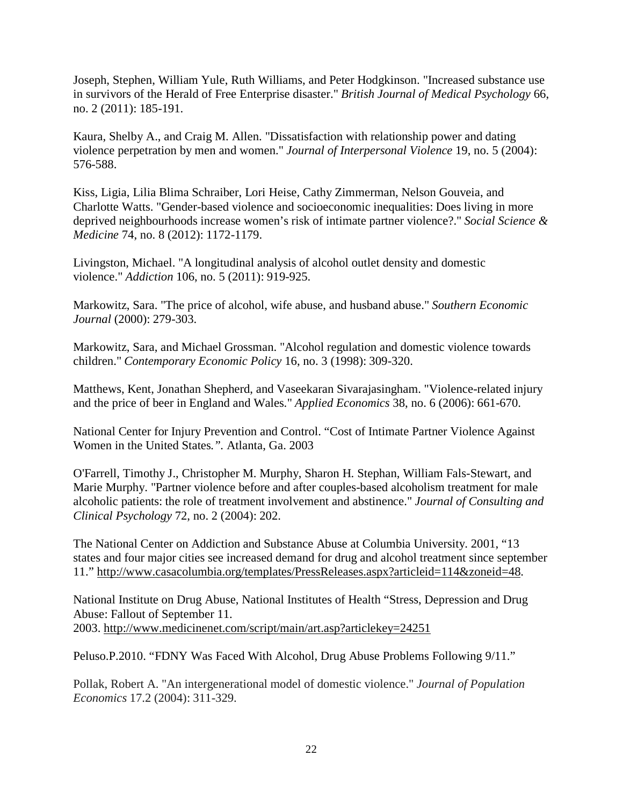Joseph, Stephen, William Yule, Ruth Williams, and Peter Hodgkinson. "Increased substance use in survivors of the Herald of Free Enterprise disaster." *British Journal of Medical Psychology* 66, no. 2 (2011): 185-191.

Kaura, Shelby A., and Craig M. Allen. "Dissatisfaction with relationship power and dating violence perpetration by men and women." *Journal of Interpersonal Violence* 19, no. 5 (2004): 576-588.

Kiss, Ligia, Lilia Blima Schraiber, Lori Heise, Cathy Zimmerman, Nelson Gouveia, and Charlotte Watts. "Gender-based violence and socioeconomic inequalities: Does living in more deprived neighbourhoods increase women's risk of intimate partner violence?." *Social Science & Medicine* 74, no. 8 (2012): 1172-1179.

Livingston, Michael. "A longitudinal analysis of alcohol outlet density and domestic violence." *Addiction* 106, no. 5 (2011): 919-925.

Markowitz, Sara. "The price of alcohol, wife abuse, and husband abuse." *Southern Economic Journal* (2000): 279-303.

Markowitz, Sara, and Michael Grossman. "Alcohol regulation and domestic violence towards children." *Contemporary Economic Policy* 16, no. 3 (1998): 309-320.

Matthews, Kent, Jonathan Shepherd, and Vaseekaran Sivarajasingham. "Violence-related injury and the price of beer in England and Wales." *Applied Economics* 38, no. 6 (2006): 661-670.

National Center for Injury Prevention and Control. "Cost of Intimate Partner Violence Against Women in the United States*.".* Atlanta, Ga. 2003

O'Farrell, Timothy J., Christopher M. Murphy, Sharon H. Stephan, William Fals-Stewart, and Marie Murphy. "Partner violence before and after couples-based alcoholism treatment for male alcoholic patients: the role of treatment involvement and abstinence." *Journal of Consulting and Clinical Psychology* 72, no. 2 (2004): 202.

The National Center on Addiction and Substance Abuse at Columbia University. 2001, "13 states and four major cities see increased demand for drug and alcohol treatment since september 11." [http://www.casacolumbia.org/templates/PressReleases.aspx?articleid=114&zoneid=48.](http://www.casacolumbia.org/templates/PressReleases.aspx?articleid=114&zoneid=48)

National Institute on Drug Abuse, National Institutes of Health "Stress, Depression and Drug Abuse: Fallout of September 11. 2003.<http://www.medicinenet.com/script/main/art.asp?articlekey=24251>

Peluso.P.2010. "FDNY Was Faced With Alcohol, Drug Abuse Problems Following 9/11."

Pollak, Robert A. "An intergenerational model of domestic violence." *Journal of Population Economics* 17.2 (2004): 311-329.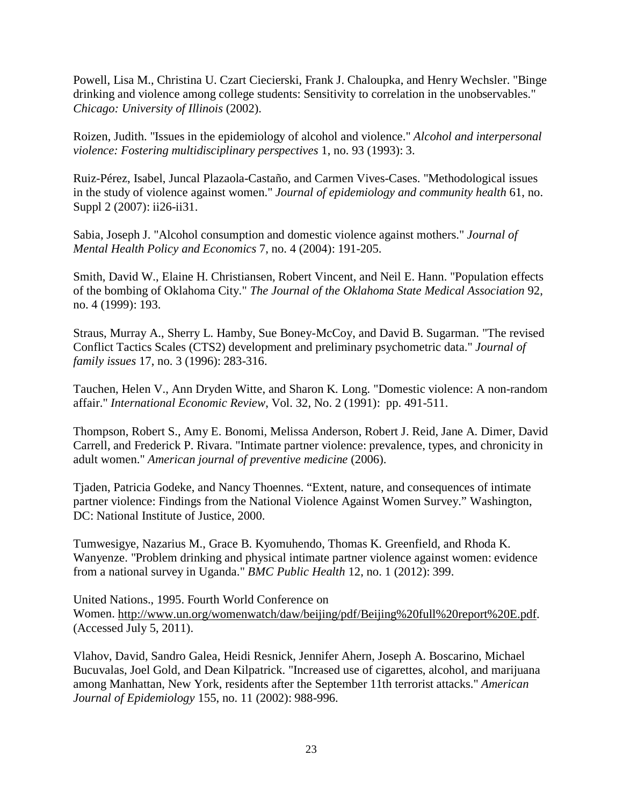Powell, Lisa M., Christina U. Czart Ciecierski, Frank J. Chaloupka, and Henry Wechsler. "Binge drinking and violence among college students: Sensitivity to correlation in the unobservables." *Chicago: University of Illinois* (2002).

Roizen, Judith. "Issues in the epidemiology of alcohol and violence." *Alcohol and interpersonal violence: Fostering multidisciplinary perspectives* 1, no. 93 (1993): 3.

Ruiz-Pérez, Isabel, Juncal Plazaola-Castaño, and Carmen Vives-Cases. "Methodological issues in the study of violence against women." *Journal of epidemiology and community health* 61, no. Suppl 2 (2007): ii26-ii31.

Sabia, Joseph J. "Alcohol consumption and domestic violence against mothers." *Journal of Mental Health Policy and Economics* 7, no. 4 (2004): 191-205.

Smith, David W., Elaine H. Christiansen, Robert Vincent, and Neil E. Hann. "Population effects of the bombing of Oklahoma City." *The Journal of the Oklahoma State Medical Association* 92, no. 4 (1999): 193.

Straus, Murray A., Sherry L. Hamby, Sue Boney-McCoy, and David B. Sugarman. "The revised Conflict Tactics Scales (CTS2) development and preliminary psychometric data." *Journal of family issues* 17, no. 3 (1996): 283-316.

Tauchen, Helen V., Ann Dryden Witte, and Sharon K. Long. "Domestic violence: A non-random affair." *International Economic Review*, Vol. 32, No. 2 (1991): pp. 491-511.

Thompson, Robert S., Amy E. Bonomi, Melissa Anderson, Robert J. Reid, Jane A. Dimer, David Carrell, and Frederick P. Rivara. "Intimate partner violence: prevalence, types, and chronicity in adult women." *American journal of preventive medicine* (2006).

Tjaden, Patricia Godeke, and Nancy Thoennes. "Extent, nature, and consequences of intimate partner violence: Findings from the National Violence Against Women Survey." Washington, DC: National Institute of Justice, 2000.

Tumwesigye, Nazarius M., Grace B. Kyomuhendo, Thomas K. Greenfield, and Rhoda K. Wanyenze. "Problem drinking and physical intimate partner violence against women: evidence from a national survey in Uganda." *BMC Public Health* 12, no. 1 (2012): 399.

United Nations., 1995. Fourth World Conference on Women. [http://www.un.org/womenwatch/daw/beijing/pdf/Beijing%20full%20report%20E.pdf.](http://www.un.org/womenwatch/daw/beijing/pdf/Beijing%20full%20report%20E.pdf) (Accessed July 5, 2011).

Vlahov, David, Sandro Galea, Heidi Resnick, Jennifer Ahern, Joseph A. Boscarino, Michael Bucuvalas, Joel Gold, and Dean Kilpatrick. "Increased use of cigarettes, alcohol, and marijuana among Manhattan, New York, residents after the September 11th terrorist attacks." *American Journal of Epidemiology* 155, no. 11 (2002): 988-996.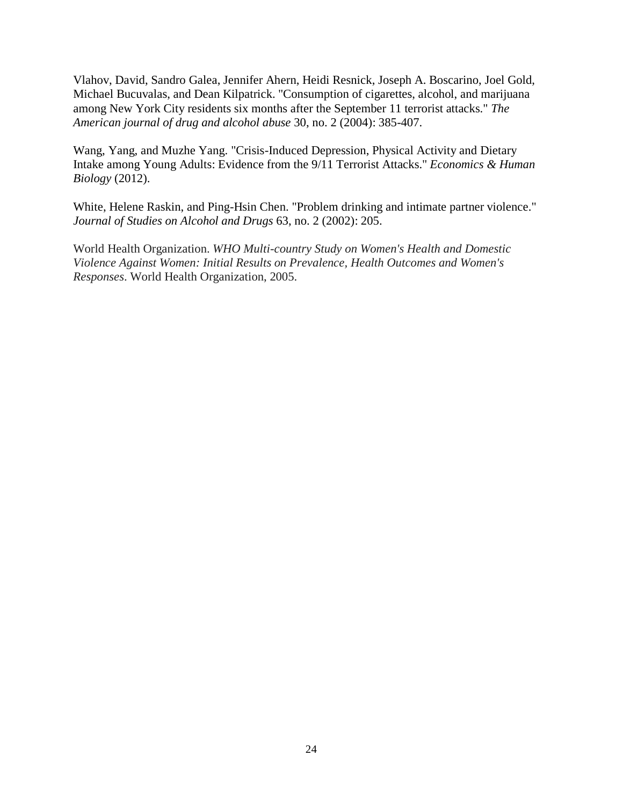Vlahov, David, Sandro Galea, Jennifer Ahern, Heidi Resnick, Joseph A. Boscarino, Joel Gold, Michael Bucuvalas, and Dean Kilpatrick. "Consumption of cigarettes, alcohol, and marijuana among New York City residents six months after the September 11 terrorist attacks." *The American journal of drug and alcohol abuse* 30, no. 2 (2004): 385-407.

Wang, Yang, and Muzhe Yang. "Crisis-Induced Depression, Physical Activity and Dietary Intake among Young Adults: Evidence from the 9/11 Terrorist Attacks." *Economics & Human Biology* (2012).

White, Helene Raskin, and Ping-Hsin Chen. "Problem drinking and intimate partner violence." *Journal of Studies on Alcohol and Drugs* 63, no. 2 (2002): 205.

World Health Organization. *WHO Multi-country Study on Women's Health and Domestic Violence Against Women: Initial Results on Prevalence, Health Outcomes and Women's Responses*. World Health Organization, 2005.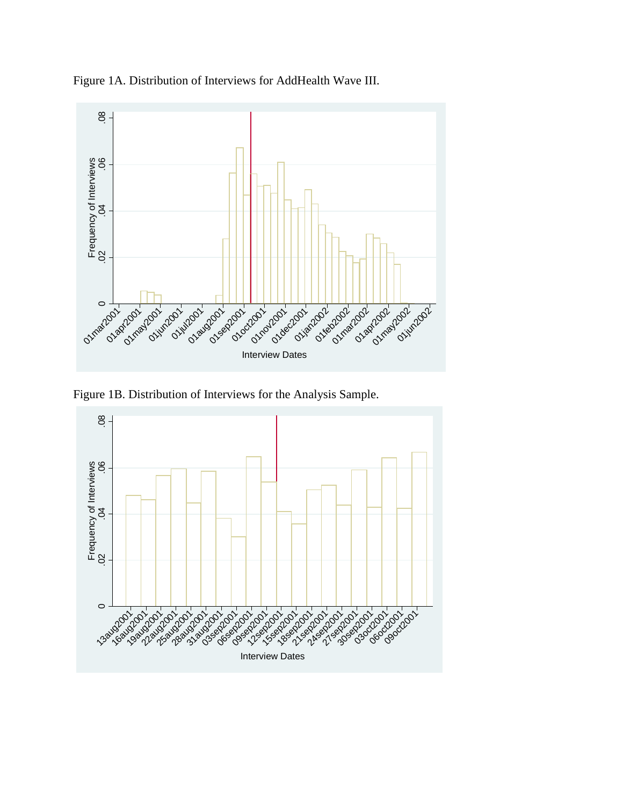

Figure 1A. Distribution of Interviews for AddHealth Wave III.

Figure 1B. Distribution of Interviews for the Analysis Sample.

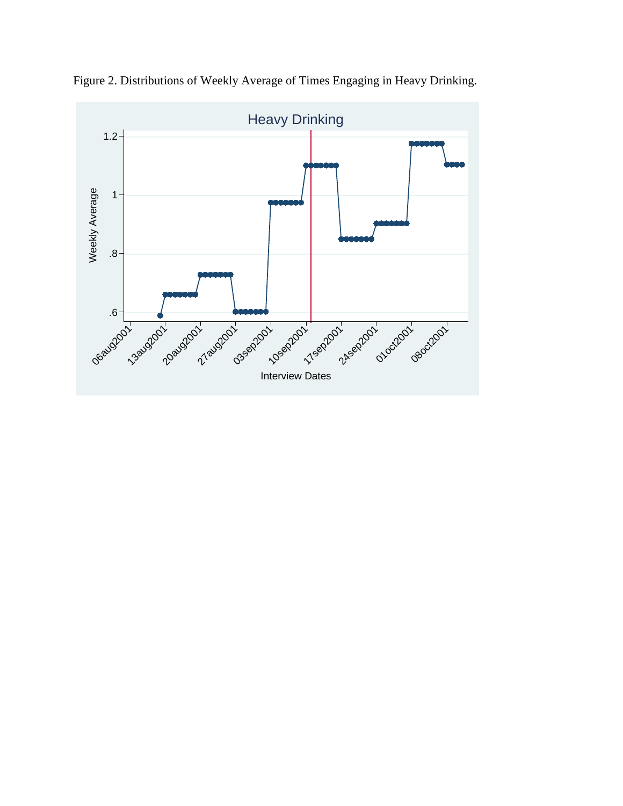

Figure 2. Distributions of Weekly Average of Times Engaging in Heavy Drinking.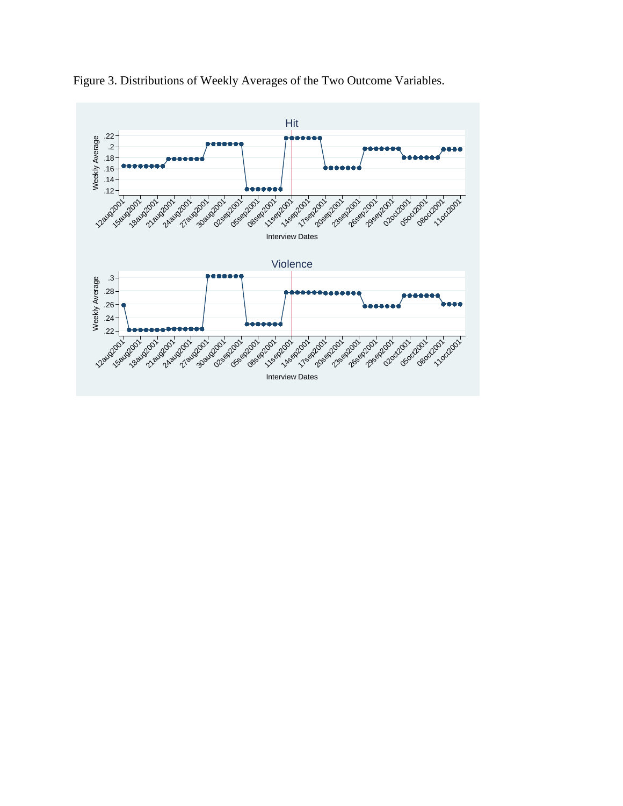

Figure 3. Distributions of Weekly Averages of the Two Outcome Variables.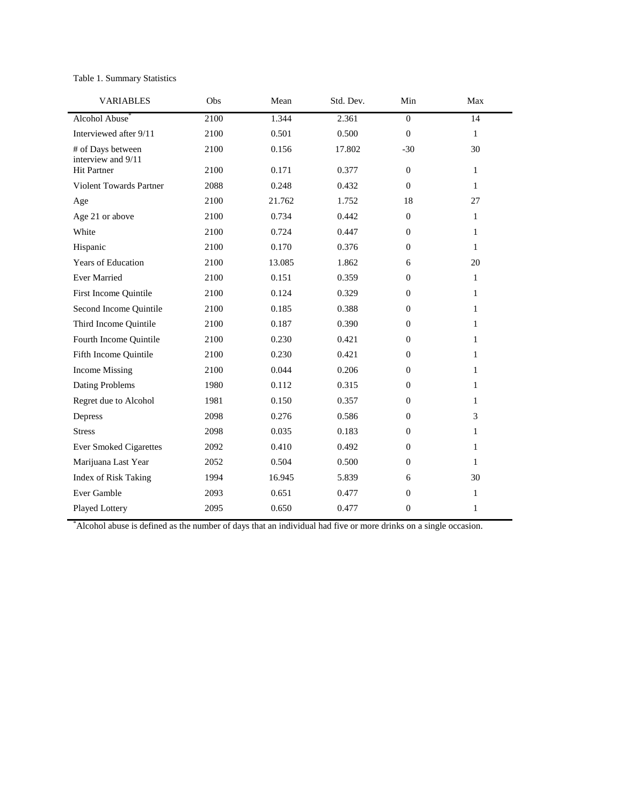#### Table 1. Summary Statistics

| <b>VARIABLES</b>                        | Obs  | Mean   | Std. Dev. | Min            | Max          |
|-----------------------------------------|------|--------|-----------|----------------|--------------|
| Alcohol Abuse*                          | 2100 | 1.344  | 2.361     | $\overline{0}$ | 14           |
| Interviewed after 9/11                  | 2100 | 0.501  | 0.500     | $\Omega$       | $\mathbf{1}$ |
| # of Days between<br>interview and 9/11 | 2100 | 0.156  | 17.802    | $-30$          | 30           |
| <b>Hit Partner</b>                      | 2100 | 0.171  | 0.377     | $\Omega$       | $\mathbf{1}$ |
| <b>Violent Towards Partner</b>          | 2088 | 0.248  | 0.432     | $\mathbf{0}$   | $\mathbf{1}$ |
| Age                                     | 2100 | 21.762 | 1.752     | 18             | 27           |
| Age 21 or above                         | 2100 | 0.734  | 0.442     | $\mathbf{0}$   | $\mathbf{1}$ |
| White                                   | 2100 | 0.724  | 0.447     | $\Omega$       | $\mathbf{1}$ |
| Hispanic                                | 2100 | 0.170  | 0.376     | $\mathbf{0}$   | $\mathbf{1}$ |
| Years of Education                      | 2100 | 13.085 | 1.862     | 6              | 20           |
| <b>Ever Married</b>                     | 2100 | 0.151  | 0.359     | $\Omega$       | $\mathbf{1}$ |
| First Income Quintile                   | 2100 | 0.124  | 0.329     | $\mathbf{0}$   | $\mathbf{1}$ |
| Second Income Quintile                  | 2100 | 0.185  | 0.388     | $\mathbf{0}$   | $\mathbf{1}$ |
| Third Income Quintile                   | 2100 | 0.187  | 0.390     | $\Omega$       | $\mathbf{1}$ |
| Fourth Income Quintile                  | 2100 | 0.230  | 0.421     | $\Omega$       | $\mathbf{1}$ |
| Fifth Income Quintile                   | 2100 | 0.230  | 0.421     | $\mathbf{0}$   | $\mathbf{1}$ |
| <b>Income Missing</b>                   | 2100 | 0.044  | 0.206     | $\Omega$       | $\mathbf{1}$ |
| Dating Problems                         | 1980 | 0.112  | 0.315     | $\Omega$       | $\mathbf{1}$ |
| Regret due to Alcohol                   | 1981 | 0.150  | 0.357     | $\Omega$       | $\mathbf{1}$ |
| Depress                                 | 2098 | 0.276  | 0.586     | $\mathbf{0}$   | 3            |
| <b>Stress</b>                           | 2098 | 0.035  | 0.183     | $\Omega$       | $\mathbf{1}$ |
| <b>Ever Smoked Cigarettes</b>           | 2092 | 0.410  | 0.492     | $\mathbf{0}$   | $\mathbf{1}$ |
| Marijuana Last Year                     | 2052 | 0.504  | 0.500     | $\mathbf{0}$   | $\mathbf{1}$ |
| Index of Risk Taking                    | 1994 | 16.945 | 5.839     | 6              | 30           |
| Ever Gamble                             | 2093 | 0.651  | 0.477     | $\mathbf{0}$   | $\mathbf{1}$ |
| Played Lottery                          | 2095 | 0.650  | 0.477     | $\mathbf{0}$   | $\mathbf{1}$ |

\* Alcohol abuse is defined as the number of days that an individual had five or more drinks on a single occasion.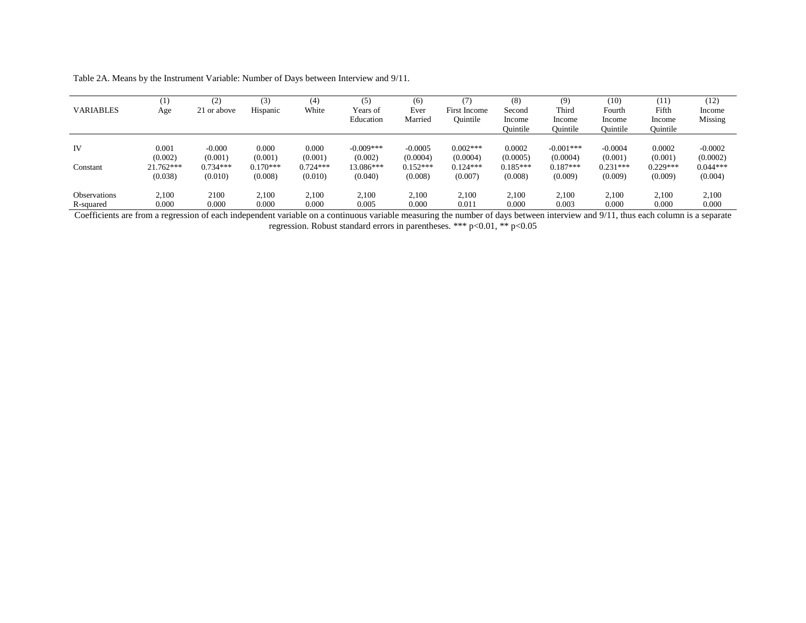| <b>VARIABLES</b>                 | (1)<br>Age             | (2)<br>21 or above    | (3)<br>Hispanic       | (4)<br>White          | (5)<br>Years of<br>Education | (6)<br>Ever<br>Married | First Income<br>Ouintile | (8)<br>Second<br>Income<br>Ouintile | (9)<br>Third<br>Income<br>Ouintile | (10)<br>Fourth<br>Income<br>Ouintile | (11)<br>Fifth<br>Income<br>Ouintile | (12)<br>Income<br>Missing |
|----------------------------------|------------------------|-----------------------|-----------------------|-----------------------|------------------------------|------------------------|--------------------------|-------------------------------------|------------------------------------|--------------------------------------|-------------------------------------|---------------------------|
| IV                               | 0.001                  | $-0.000$              | 0.000                 | 0.000                 | $-0.009***$                  | $-0.0005$              | $0.002***$               | 0.0002                              | $-0.001***$                        | $-0.0004$                            | 0.0002                              | $-0.0002$                 |
|                                  | (0.002)                | (0.001)               | (0.001)               | (0.001)               | (0.002)                      | (0.0004)               | (0.0004)                 | (0.0005)                            | (0.0004)                           | (0.001)                              | (0.001)                             | (0.0002)                  |
| Constant                         | $21.762***$<br>(0.038) | $0.734***$<br>(0.010) | $0.170***$<br>(0.008) | $0.724***$<br>(0.010) | 13.086***<br>(0.040)         | $0.152***$<br>(0.008)  | $0.124***$<br>(0.007)    | $0.185***$<br>(0.008)               | $0.187***$<br>(0.009)              | $0.231***$<br>(0.009)                | $0.229***$<br>(0.009)               | $0.044***$<br>(0.004)     |
| <b>Observations</b><br>R-squared | 2.100<br>0.000         | 2100<br>0.000         | 2,100<br>0.000        | 2,100<br>0.000        | 2,100<br>0.005               | 2.100<br>0.000         | 2,100<br>0.011           | 2.100<br>0.000                      | 2,100<br>0.003                     | 2,100<br>0.000                       | 2,100<br>0.000                      | 2,100<br>0.000            |

Table 2A. Means by the Instrument Variable: Number of Days between Interview and 9/11.

Coefficients are from a regression of each independent variable on a continuous variable measuring the number of days between interview and 9/11, thus each column is a separate regression. Robust standard errors in parentheses. \*\*\* p<0.01, \*\* p<0.05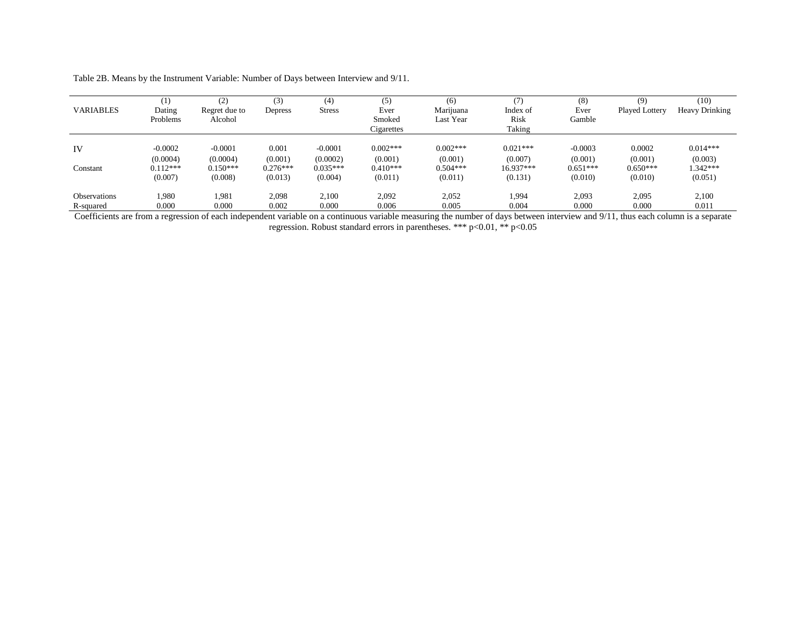| <b>VARIABLES</b>                 | (1)<br>Dating<br>Problems           | (2)<br>Regret due to<br>Alcohol     | (3)<br>Depress                 | (4)<br><b>Stress</b>                | (5)<br>Ever<br>Smoked<br>Cigarettes | (6)<br>Marijuana<br>Last Year       | (7)<br>Index of<br>Risk<br>Taking    | (8)<br>Ever<br>Gamble              | (9)<br>Played Lottery           | (10)<br>Heavy Drinking              |
|----------------------------------|-------------------------------------|-------------------------------------|--------------------------------|-------------------------------------|-------------------------------------|-------------------------------------|--------------------------------------|------------------------------------|---------------------------------|-------------------------------------|
| IV<br>Constant                   | $-0.0002$<br>(0.0004)<br>$0.112***$ | $-0.0001$<br>(0.0004)<br>$0.150***$ | 0.001<br>(0.001)<br>$0.276***$ | $-0.0001$<br>(0.0002)<br>$0.035***$ | $0.002***$<br>(0.001)<br>$0.410***$ | $0.002***$<br>(0.001)<br>$0.504***$ | $0.021***$<br>(0.007)<br>$16.937***$ | $-0.0003$<br>(0.001)<br>$0.651***$ | 0.0002<br>(0.001)<br>$0.650***$ | $0.014***$<br>(0.003)<br>$1.342***$ |
| <b>Observations</b><br>R-squared | (0.007)<br>1.980<br>0.000           | (0.008)<br>1.981<br>0.000           | (0.013)<br>2,098<br>0.002      | (0.004)<br>2,100<br>0.000           | (0.011)<br>2,092<br>0.006           | (0.011)<br>2,052<br>0.005           | (0.131)<br>1.994<br>0.004            | (0.010)<br>2,093<br>0.000          | (0.010)<br>2,095<br>0.000       | (0.051)<br>2,100<br>0.011           |

Table 2B. Means by the Instrument Variable: Number of Days between Interview and 9/11.

Coefficients are from a regression of each independent variable on a continuous variable measuring the number of days between interview and 9/11, thus each column is a separate regression. Robust standard errors in parentheses. \*\*\* p<0.01, \*\* p<0.05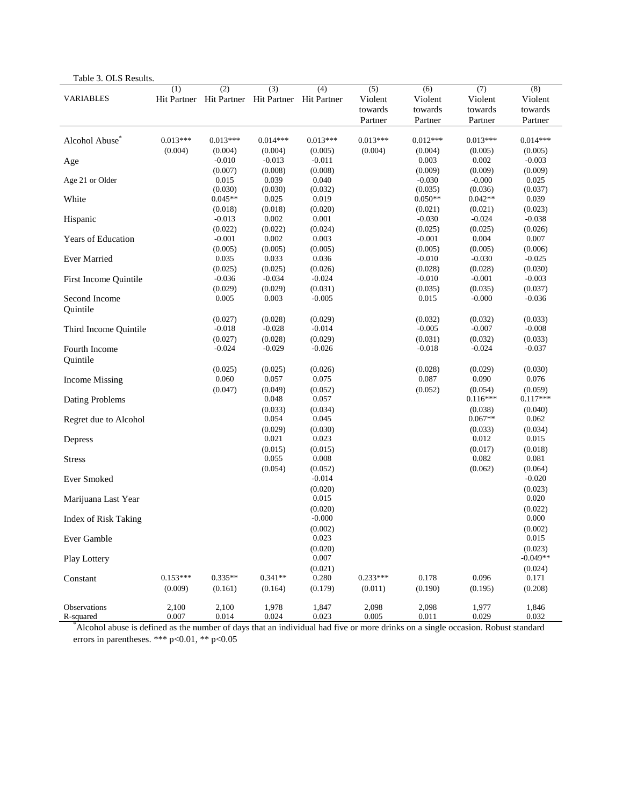| Table 3. OLS Results.       |                       |                             |                                                        |                             |                                      |                                      |                                      |                                      |
|-----------------------------|-----------------------|-----------------------------|--------------------------------------------------------|-----------------------------|--------------------------------------|--------------------------------------|--------------------------------------|--------------------------------------|
| <b>VARIABLES</b>            | (1)                   | (2)                         | (3)<br>Hit Partner Hit Partner Hit Partner Hit Partner | (4)                         | (5)<br>Violent<br>towards<br>Partner | (6)<br>Violent<br>towards<br>Partner | (7)<br>Violent<br>towards<br>Partner | (8)<br>Violent<br>towards<br>Partner |
| Alcohol Abuse <sup>®</sup>  | $0.013***$            | $0.013***$                  | $0.014***$                                             | $0.013***$                  | $0.013***$                           | $0.012***$                           | $0.013***$                           | $0.014***$                           |
| Age                         | (0.004)               | (0.004)<br>$-0.010$         | (0.004)<br>$-0.013$                                    | (0.005)<br>$-0.011$         | (0.004)                              | (0.004)<br>0.003                     | (0.005)<br>0.002                     | (0.005)<br>$-0.003$                  |
| Age 21 or Older             |                       | (0.007)<br>0.015<br>(0.030) | (0.008)<br>0.039<br>(0.030)                            | (0.008)<br>0.040<br>(0.032) |                                      | (0.009)<br>$-0.030$<br>(0.035)       | (0.009)<br>$-0.000$<br>(0.036)       | (0.009)<br>0.025<br>(0.037)          |
| White                       |                       | $0.045**$<br>(0.018)        | 0.025<br>(0.018)                                       | 0.019<br>(0.020)            |                                      | $0.050**$<br>(0.021)                 | $0.042**$<br>(0.021)                 | 0.039<br>(0.023)                     |
| Hispanic                    |                       | $-0.013$<br>(0.022)         | 0.002<br>(0.022)                                       | 0.001<br>(0.024)            |                                      | $-0.030$<br>(0.025)                  | $-0.024$<br>(0.025)                  | $-0.038$<br>(0.026)                  |
| <b>Years of Education</b>   |                       | $-0.001$<br>(0.005)         | 0.002<br>(0.005)                                       | 0.003<br>(0.005)            |                                      | $-0.001$<br>(0.005)                  | 0.004<br>(0.005)                     | 0.007<br>(0.006)                     |
| <b>Ever Married</b>         |                       | 0.035<br>(0.025)            | 0.033<br>(0.025)                                       | 0.036<br>(0.026)            |                                      | $-0.010$<br>(0.028)                  | $-0.030$<br>(0.028)                  | $-0.025$<br>(0.030)                  |
| First Income Quintile       |                       | $-0.036$<br>(0.029)         | $-0.034$<br>(0.029)                                    | $-0.024$<br>(0.031)         |                                      | $-0.010$<br>(0.035)                  | $-0.001$<br>(0.035)                  | $-0.003$<br>(0.037)                  |
| Second Income<br>Quintile   |                       | 0.005                       | 0.003                                                  | $-0.005$                    |                                      | 0.015                                | $-0.000$                             | $-0.036$                             |
| Third Income Quintile       |                       | (0.027)<br>$-0.018$         | (0.028)<br>$-0.028$                                    | (0.029)<br>$-0.014$         |                                      | (0.032)<br>$-0.005$                  | (0.032)<br>$-0.007$                  | (0.033)<br>$-0.008$                  |
| Fourth Income               |                       | (0.027)<br>$-0.024$         | (0.028)<br>$-0.029$                                    | (0.029)<br>$-0.026$         |                                      | (0.031)<br>$-0.018$                  | (0.032)<br>$-0.024$                  | (0.033)<br>$-0.037$                  |
| Quintile                    |                       | (0.025)                     | (0.025)                                                | (0.026)                     |                                      | (0.028)                              | (0.029)                              | (0.030)                              |
| <b>Income Missing</b>       |                       | 0.060<br>(0.047)            | 0.057<br>(0.049)                                       | 0.075<br>(0.052)            |                                      | 0.087<br>(0.052)                     | 0.090<br>(0.054)                     | 0.076<br>(0.059)                     |
| Dating Problems             |                       |                             | 0.048<br>(0.033)                                       | 0.057<br>(0.034)            |                                      |                                      | $0.116***$<br>(0.038)                | $0.117***$<br>(0.040)                |
| Regret due to Alcohol       |                       |                             | 0.054<br>(0.029)                                       | 0.045<br>(0.030)            |                                      |                                      | $0.067**$<br>(0.033)                 | 0.062<br>(0.034)                     |
| Depress                     |                       |                             | 0.021<br>(0.015)                                       | 0.023<br>(0.015)            |                                      |                                      | 0.012<br>(0.017)                     | 0.015<br>(0.018)                     |
| <b>Stress</b>               |                       |                             | 0.055<br>(0.054)                                       | 0.008<br>(0.052)            |                                      |                                      | 0.082<br>(0.062)                     | 0.081<br>(0.064)                     |
| Ever Smoked                 |                       |                             |                                                        | $-0.014$<br>(0.020)         |                                      |                                      |                                      | $-0.020$<br>(0.023)                  |
| Marijuana Last Year         |                       |                             |                                                        | 0.015<br>(0.020)            |                                      |                                      |                                      | 0.020<br>(0.022)                     |
| <b>Index of Risk Taking</b> |                       |                             |                                                        | $-0.000$<br>(0.002)         |                                      |                                      |                                      | 0.000<br>(0.002)                     |
| Ever Gamble                 |                       |                             |                                                        | 0.023<br>(0.020)            |                                      |                                      |                                      | 0.015<br>(0.023)                     |
| Play Lottery                |                       |                             |                                                        | 0.007<br>(0.021)            |                                      |                                      |                                      | $-0.049**$<br>(0.024)                |
| Constant                    | $0.153***$<br>(0.009) | $0.335**$<br>(0.161)        | $0.341**$<br>(0.164)                                   | 0.280<br>(0.179)            | $0.233***$<br>(0.011)                | 0.178<br>(0.190)                     | 0.096<br>(0.195)                     | 0.171<br>(0.208)                     |
| Observations<br>R-squared   | 2,100<br>0.007        | 2,100<br>0.014              | 1,978<br>0.024                                         | 1,847<br>0.023              | 2,098<br>0.005                       | 2,098<br>0.011                       | 1,977<br>0.029                       | 1,846<br>0.032                       |

\* Alcohol abuse is defined as the number of days that an individual had five or more drinks on a single occasion. Robust standard errors in parentheses. \*\*\* p<0.01, \*\* p<0.05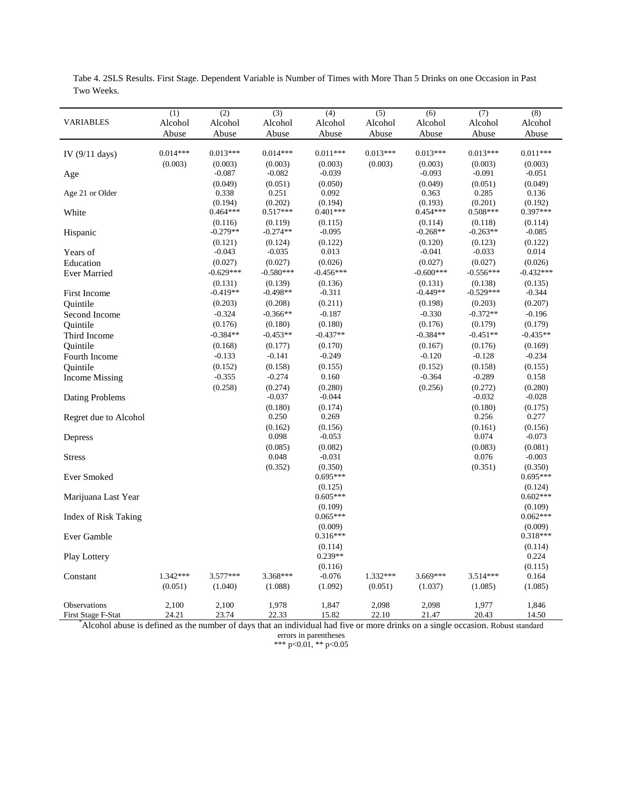|                             | (1)        | (2)         | (3)         | (4)         | (5)        | (6)         | (7)         | (8)         |
|-----------------------------|------------|-------------|-------------|-------------|------------|-------------|-------------|-------------|
| <b>VARIABLES</b>            | Alcohol    | Alcohol     | Alcohol     | Alcohol     | Alcohol    | Alcohol     | Alcohol     | Alcohol     |
|                             | Abuse      | Abuse       | Abuse       | Abuse       | Abuse      | Abuse       | Abuse       | Abuse       |
|                             |            |             |             |             |            |             |             |             |
| IV $(9/11$ days)            | $0.014***$ | $0.013***$  | $0.014***$  | $0.011***$  | $0.013***$ | $0.013***$  | $0.013***$  | $0.011***$  |
|                             | (0.003)    | (0.003)     | (0.003)     | (0.003)     | (0.003)    | (0.003)     | (0.003)     | (0.003)     |
| Age                         |            | $-0.087$    | $-0.082$    | $-0.039$    |            | $-0.093$    | $-0.091$    | $-0.051$    |
|                             |            | (0.049)     | (0.051)     | (0.050)     |            | (0.049)     | (0.051)     | (0.049)     |
| Age 21 or Older             |            | 0.338       | 0.251       | 0.092       |            | 0.363       | 0.285       | 0.136       |
|                             |            | (0.194)     | (0.202)     | (0.194)     |            | (0.193)     | (0.201)     | (0.192)     |
| White                       |            | $0.464***$  | $0.517***$  | $0.401***$  |            | $0.454***$  | $0.508***$  | $0.397***$  |
|                             |            | (0.116)     | (0.119)     | (0.115)     |            | (0.114)     | (0.118)     | (0.114)     |
| Hispanic                    |            | $-0.279**$  | $-0.274**$  | $-0.095$    |            | $-0.268**$  | $-0.263**$  | $-0.085$    |
|                             |            | (0.121)     | (0.124)     | (0.122)     |            | (0.120)     | (0.123)     | (0.122)     |
| Years of                    |            | $-0.043$    | $-0.035$    | 0.013       |            | $-0.041$    | $-0.033$    | 0.014       |
| Education                   |            | (0.027)     | (0.027)     | (0.026)     |            | (0.027)     | (0.027)     | (0.026)     |
| <b>Ever Married</b>         |            | $-0.629***$ | $-0.580***$ | $-0.456***$ |            | $-0.600***$ | $-0.556***$ | $-0.432***$ |
|                             |            | (0.131)     | (0.139)     | (0.136)     |            | (0.131)     | (0.138)     | (0.135)     |
| <b>First Income</b>         |            | $-0.419**$  | $-0.498**$  | $-0.311$    |            | $-0.449**$  | $-0.529***$ | $-0.344$    |
| Ouintile                    |            | (0.203)     | (0.208)     | (0.211)     |            | (0.198)     | (0.203)     | (0.207)     |
| Second Income               |            | $-0.324$    | $-0.366**$  | $-0.187$    |            | $-0.330$    | $-0.372**$  | $-0.196$    |
|                             |            | (0.176)     | (0.180)     | (0.180)     |            | (0.176)     | (0.179)     | (0.179)     |
| Ouintile                    |            |             |             |             |            |             |             |             |
| Third Income                |            | $-0.384**$  | $-0.453**$  | $-0.437**$  |            | $-0.384**$  | $-0.451**$  | $-0.435**$  |
| Ouintile                    |            | (0.168)     | (0.177)     | (0.170)     |            | (0.167)     | (0.176)     | (0.169)     |
| Fourth Income               |            | $-0.133$    | $-0.141$    | $-0.249$    |            | $-0.120$    | $-0.128$    | $-0.234$    |
| Ouintile                    |            | (0.152)     | (0.158)     | (0.155)     |            | (0.152)     | (0.158)     | (0.155)     |
| <b>Income Missing</b>       |            | $-0.355$    | $-0.274$    | 0.160       |            | $-0.364$    | $-0.289$    | 0.158       |
|                             |            | (0.258)     | (0.274)     | (0.280)     |            | (0.256)     | (0.272)     | (0.280)     |
| Dating Problems             |            |             | $-0.037$    | $-0.044$    |            |             | $-0.032$    | $-0.028$    |
|                             |            |             | (0.180)     | (0.174)     |            |             | (0.180)     | (0.175)     |
| Regret due to Alcohol       |            |             | 0.250       | 0.269       |            |             | 0.256       | 0.277       |
|                             |            |             | (0.162)     | (0.156)     |            |             | (0.161)     | (0.156)     |
| Depress                     |            |             | 0.098       | $-0.053$    |            |             | 0.074       | $-0.073$    |
|                             |            |             | (0.085)     | (0.082)     |            |             | (0.083)     | (0.081)     |
| <b>Stress</b>               |            |             | 0.048       | $-0.031$    |            |             | 0.076       | $-0.003$    |
|                             |            |             | (0.352)     | (0.350)     |            |             | (0.351)     | (0.350)     |
| Ever Smoked                 |            |             |             | $0.695***$  |            |             |             | $0.695***$  |
|                             |            |             |             | (0.125)     |            |             |             | (0.124)     |
| Marijuana Last Year         |            |             |             | $0.605***$  |            |             |             | $0.602***$  |
|                             |            |             |             | (0.109)     |            |             |             | (0.109)     |
| <b>Index of Risk Taking</b> |            |             |             | $0.065***$  |            |             |             | $0.062***$  |
|                             |            |             |             | (0.009)     |            |             |             | (0.009)     |
| Ever Gamble                 |            |             |             | $0.316***$  |            |             |             | $0.318***$  |
|                             |            |             |             | (0.114)     |            |             |             | (0.114)     |
| <b>Play Lottery</b>         |            |             |             | $0.239**$   |            |             |             | 0.224       |
|                             |            |             |             | (0.116)     |            |             |             | (0.115)     |
| Constant                    | 1.342***   | $3.577***$  | 3.368***    | $-0.076$    | 1.332***   | 3.669***    | $3.514***$  | 0.164       |
|                             | (0.051)    | (1.040)     | (1.088)     | (1.092)     | (0.051)    | (1.037)     | (1.085)     | (1.085)     |
|                             |            |             |             |             |            |             |             |             |
| Observations                | 2,100      | 2,100       | 1,978       | 1,847       | 2,098      | 2,098       | 1,977       | 1,846       |
| First Stage E-Stat          | 2421       | 2374        | 22.33       | 15.82       | 22.10      | 21.47       | 20.43       | 14.50       |

Tabe 4. 2SLS Results. First Stage. Dependent Variable is Number of Times with More Than 5 Drinks on one Occasion in Past Two Weeks.

First Stage F-Stat 24.21 23.74 22.33 15.82 22.10 21.47 20.43 14.50<br>Alcohol abuse is defined as the number of days that an individual had five or more drinks on a single occasion. Robust standard

errors in parentheses \*\*\* p<0.01, \*\* p<0.05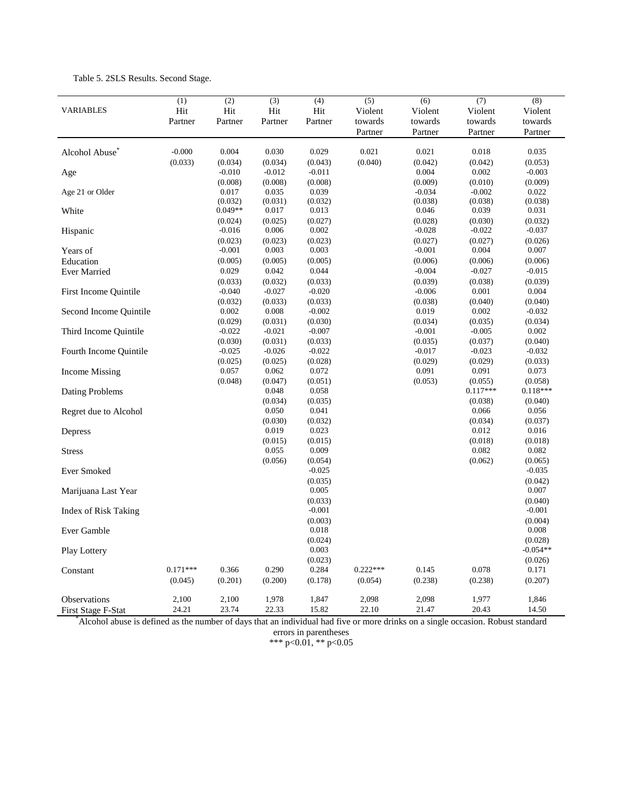|                              | (1)        | $\overline{(2)}$ | (3)              | (4)              | (5)        | (6)      | (7)              | (8)              |
|------------------------------|------------|------------------|------------------|------------------|------------|----------|------------------|------------------|
| <b>VARIABLES</b>             | Hit        | Hit              | Hit              | Hit              | Violent    | Violent  | Violent          | Violent          |
|                              | Partner    | Partner          | Partner          | Partner          | towards    | towards  | towards          | towards          |
|                              |            |                  |                  |                  | Partner    | Partner  | Partner          | Partner          |
| Alcohol Abuse <sup>®</sup>   | $-0.000$   | 0.004            | 0.030            | 0.029            | 0.021      | 0.021    | 0.018            | 0.035            |
|                              | (0.033)    | (0.034)          | (0.034)          | (0.043)          | (0.040)    | (0.042)  | (0.042)          | (0.053)          |
| Age                          |            | $-0.010$         | $-0.012$         | $-0.011$         |            | 0.004    | 0.002            | $-0.003$         |
|                              |            | (0.008)          | (0.008)          | (0.008)          |            | (0.009)  | (0.010)          | (0.009)          |
| Age 21 or Older              |            | 0.017            | 0.035            | 0.039            |            | $-0.034$ | $-0.002$         | 0.022            |
|                              |            | (0.032)          | (0.031)          | (0.032)          |            | (0.038)  | (0.038)          | (0.038)          |
| White                        |            | $0.049**$        | 0.017            | 0.013            |            | 0.046    | 0.039            | 0.031            |
|                              |            | (0.024)          | (0.025)          | (0.027)          |            | (0.028)  | (0.030)          | (0.032)          |
| Hispanic                     |            | $-0.016$         | 0.006            | 0.002            |            | $-0.028$ | $-0.022$         | $-0.037$         |
|                              |            | (0.023)          | (0.023)          | (0.023)          |            | (0.027)  | (0.027)          | (0.026)          |
| Years of                     |            | $-0.001$         | 0.003            | 0.003            |            | $-0.001$ | 0.004            | 0.007            |
| Education                    |            | (0.005)          | (0.005)          | (0.005)          |            | (0.006)  | (0.006)          | (0.006)          |
| <b>Ever Married</b>          |            | 0.029            | 0.042            | 0.044            |            | $-0.004$ | $-0.027$         | $-0.015$         |
|                              |            | (0.033)          | (0.032)          | (0.033)          |            | (0.039)  | (0.038)          | (0.039)          |
| <b>First Income Quintile</b> |            | $-0.040$         | $-0.027$         | $-0.020$         |            | $-0.006$ | 0.001            | 0.004            |
|                              |            | (0.032)          | (0.033)          | (0.033)          |            | (0.038)  | (0.040)          | (0.040)          |
| Second Income Quintile       |            | 0.002            | 0.008            | $-0.002$         |            | 0.019    | 0.002            | $-0.032$         |
|                              |            | (0.029)          | (0.031)          | (0.030)          |            | (0.034)  | (0.035)          | (0.034)          |
| Third Income Quintile        |            | $-0.022$         | $-0.021$         | $-0.007$         |            | $-0.001$ | $-0.005$         | 0.002            |
|                              |            | (0.030)          | (0.031)          | (0.033)          |            | (0.035)  | (0.037)          | (0.040)          |
| Fourth Income Quintile       |            | $-0.025$         | $-0.026$         | $-0.022$         |            | $-0.017$ | $-0.023$         | $-0.032$         |
|                              |            | (0.025)          | (0.025)          | (0.028)          |            | (0.029)  | (0.029)          | (0.033)          |
| <b>Income Missing</b>        |            | 0.057            | 0.062            | 0.072            |            | 0.091    | 0.091            | 0.073            |
|                              |            | (0.048)          | (0.047)          | (0.051)          |            | (0.053)  | (0.055)          | (0.058)          |
| Dating Problems              |            |                  | 0.048            | 0.058            |            |          | $0.117***$       | $0.118***$       |
|                              |            |                  | (0.034)          | (0.035)          |            |          | (0.038)          | (0.040)          |
| Regret due to Alcohol        |            |                  | 0.050            | 0.041            |            |          | 0.066            | 0.056            |
|                              |            |                  | (0.030)<br>0.019 | (0.032)<br>0.023 |            |          | (0.034)<br>0.012 | (0.037)<br>0.016 |
| Depress                      |            |                  |                  |                  |            |          |                  |                  |
|                              |            |                  | (0.015)<br>0.055 | (0.015)<br>0.009 |            |          | (0.018)<br>0.082 | (0.018)<br>0.082 |
| <b>Stress</b>                |            |                  | (0.056)          | (0.054)          |            |          | (0.062)          | (0.065)          |
| <b>Ever Smoked</b>           |            |                  |                  | $-0.025$         |            |          |                  | $-0.035$         |
|                              |            |                  |                  | (0.035)          |            |          |                  | (0.042)          |
| Marijuana Last Year          |            |                  |                  | 0.005            |            |          |                  | 0.007            |
|                              |            |                  |                  | (0.033)          |            |          |                  | (0.040)          |
| <b>Index of Risk Taking</b>  |            |                  |                  | $-0.001$         |            |          |                  | $-0.001$         |
|                              |            |                  |                  | (0.003)          |            |          |                  | (0.004)          |
| Ever Gamble                  |            |                  |                  | 0.018            |            |          |                  | 0.008            |
|                              |            |                  |                  | (0.024)          |            |          |                  | (0.028)          |
| Play Lottery                 |            |                  |                  | 0.003            |            |          |                  | $-0.054**$       |
|                              |            |                  |                  | (0.023)          |            |          |                  | (0.026)          |
| Constant                     | $0.171***$ | 0.366            | 0.290            | 0.284            | $0.222***$ | 0.145    | 0.078            | 0.171            |
|                              | (0.045)    | (0.201)          | (0.200)          | (0.178)          | (0.054)    | (0.238)  | (0.238)          | (0.207)          |
|                              |            |                  |                  |                  |            |          |                  |                  |
| Observations                 | 2,100      | 2,100            | 1,978            | 1,847            | 2,098      | 2,098    | 1,977            | 1,846            |
| <b>First Stage F-Stat</b>    | 24.21      | 23.74            | 22.33            | 15.82            | 22.10      | 21.47    | 20.43            | 14.50            |

Table 5. 2SLS Results. Second Stage.

First Stage F-Stat 24.21 23.74 22.33 15.82 22.10 21.47 20.43 14.50 \* Alcohol abuse is defined as the number of days that an individual had five or more drinks on a single occasion. Robust standard

errors in parentheses

\*\*\* p<0.01, \*\* p<0.05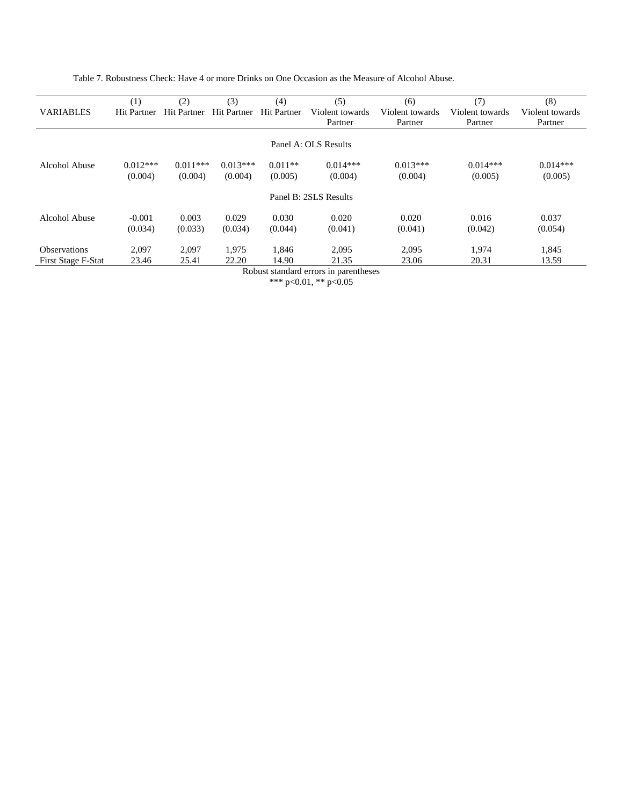Table 7. Robustness Check: Have 4 or more Drinks on One Occasion as the Measure of Alcohol Abuse.

|                     | (1)                | (2)                | (3)                | (4)                | (5)                   | (6)             | (7)             | (8)             |
|---------------------|--------------------|--------------------|--------------------|--------------------|-----------------------|-----------------|-----------------|-----------------|
| <b>VARIABLES</b>    | <b>Hit Partner</b> | <b>Hit Partner</b> | <b>Hit Partner</b> | <b>Hit Partner</b> | Violent towards       | Violent towards | Violent towards | Violent towards |
|                     |                    |                    |                    |                    | Partner               | Partner         | Partner         | Partner         |
|                     |                    |                    |                    |                    |                       |                 |                 |                 |
|                     |                    |                    |                    |                    | Panel A: OLS Results  |                 |                 |                 |
| Alcohol Abuse       | $0.012***$         | $0.011***$         | $0.013***$         | $0.011**$          | $0.014***$            | $0.013***$      | $0.014***$      | $0.014***$      |
|                     | (0.004)            | (0.004)            | (0.004)            | (0.005)            | (0.004)               | (0.004)         | (0.005)         | (0.005)         |
|                     |                    |                    |                    |                    | Panel B: 2SLS Results |                 |                 |                 |
| Alcohol Abuse       | $-0.001$           | 0.003              | 0.029              | 0.030              | 0.020                 | 0.020           | 0.016           | 0.037           |
|                     | (0.034)            | (0.033)            | (0.034)            | (0.044)            | (0.041)               | (0.041)         | (0.042)         | (0.054)         |
| <b>Observations</b> | 2,097              | 2,097              | 1,975              | 1,846              | 2,095                 | 2,095           | 1,974           | 1,845           |
| First Stage F-Stat  | 23.46              | 25.41              | 22.20              | 14.90              | 21.35                 | 23.06           | 20.31           | 13.59           |

Robust standard errors in parentheses \*\*\* p<0.01, \*\* p<0.05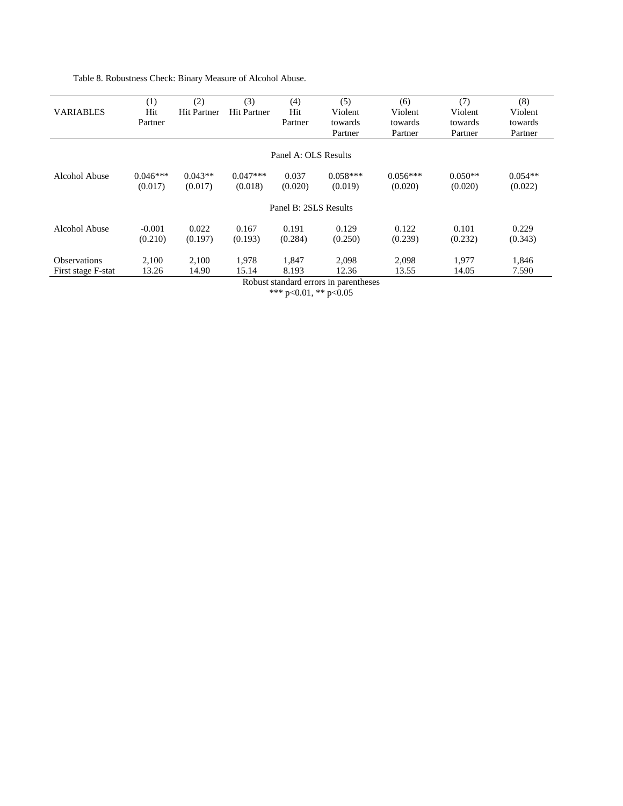Table 8. Robustness Check: Binary Measure of Alcohol Abuse.

|                       | (1)        | (2)                | (3)                | (4)                  | (5)        | (6)        | (7)       | (8)       |  |  |
|-----------------------|------------|--------------------|--------------------|----------------------|------------|------------|-----------|-----------|--|--|
| <b>VARIABLES</b>      | Hit        | <b>Hit Partner</b> | <b>Hit Partner</b> | Hit                  | Violent    | Violent    | Violent   | Violent   |  |  |
|                       | Partner    |                    |                    | Partner              | towards    | towards    | towards   | towards   |  |  |
|                       |            |                    |                    |                      | Partner    | Partner    | Partner   | Partner   |  |  |
|                       |            |                    |                    |                      |            |            |           |           |  |  |
|                       |            |                    |                    | Panel A: OLS Results |            |            |           |           |  |  |
| Alcohol Abuse         | $0.046***$ | $0.043**$          | $0.047***$         | 0.037                | $0.058***$ | $0.056***$ | $0.050**$ | $0.054**$ |  |  |
|                       | (0.017)    | (0.017)            | (0.018)            | (0.020)              | (0.019)    | (0.020)    | (0.020)   | (0.022)   |  |  |
| Panel B: 2SLS Results |            |                    |                    |                      |            |            |           |           |  |  |
| Alcohol Abuse         | $-0.001$   | 0.022              | 0.167              | 0.191                | 0.129      | 0.122      | 0.101     | 0.229     |  |  |
|                       | (0.210)    | (0.197)            | (0.193)            | (0.284)              | (0.250)    | (0.239)    | (0.232)   | (0.343)   |  |  |
| <b>Observations</b>   | 2,100      | 2,100              | 1,978              | 1,847                | 2,098      | 2,098      | 1,977     | 1,846     |  |  |
| First stage F-stat    | 13.26      | 14.90              | 15.14              | 8.193                | 12.36      | 13.55      | 14.05     | 7.590     |  |  |

Robust standard errors in parentheses \*\*\* p<0.01, \*\* p<0.05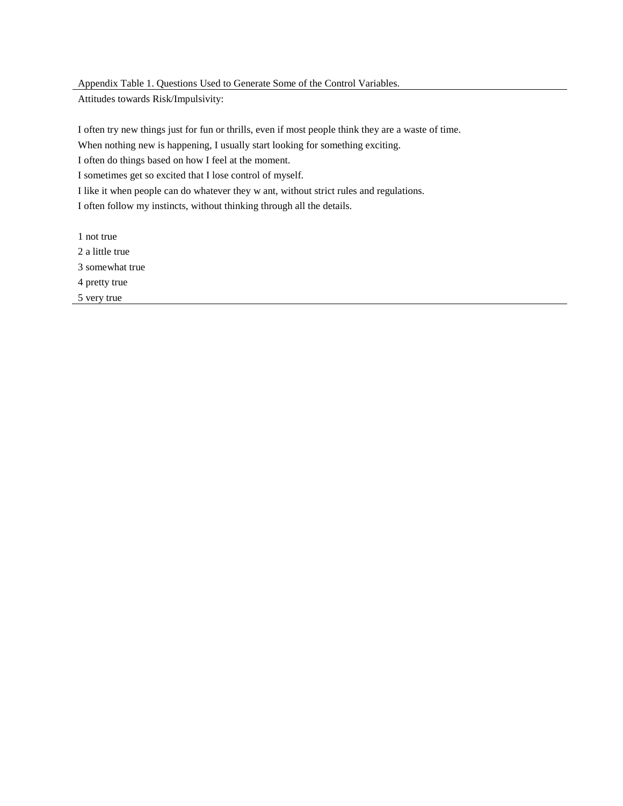Appendix Table 1. Questions Used to Generate Some of the Control Variables.

Attitudes towards Risk/Impulsivity:

I often try new things just for fun or thrills, even if most people think they are a waste of time.

When nothing new is happening, I usually start looking for something exciting.

I often do things based on how I feel at the moment.

I sometimes get so excited that I lose control of myself.

I like it when people can do whatever they w ant, without strict rules and regulations.

I often follow my instincts, without thinking through all the details.

1 not true 2 a little true 3 somewhat true 4 pretty true 5 very true